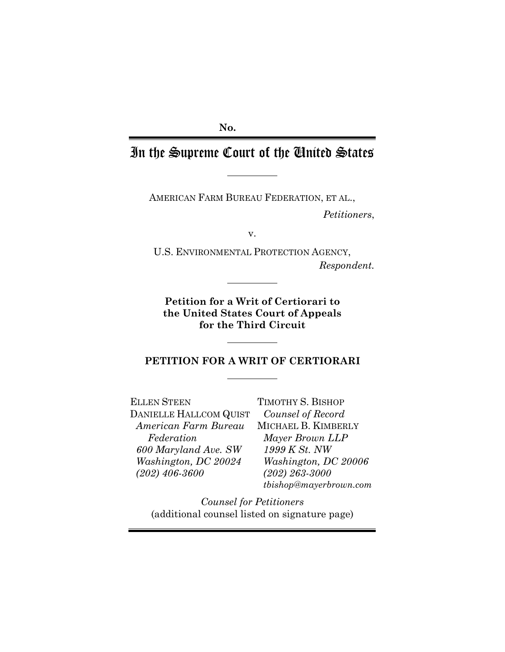### **No.**

# <span id="page-0-0"></span>In the Supreme Court of the United States

AMERICAN FARM BUREAU FEDERATION, ET AL.,

*Petitioners*,

v.

U.S. ENVIRONMENTAL PROTECTION AGENCY, *Respondent.*

**Petition for a Writ of Certiorari to the United States Court of Appeals for the Third Circuit**

**PETITION FOR A WRIT OF CERTIORARI**

ELLEN STEEN DANIELLE HALLCOM QUIST *American Farm Bureau Federation 600 Maryland Ave. SW Washington, DC 20024 (202) 406-3600*

TIMOTHY S. BISHOP *Counsel of Record* MICHAEL B. KIMBERLY *Mayer Brown LLP 1999 K St. NW Washington, DC 20006 (202) 263-3000 [tbishop@mayerbrown.com](mailto:tbishop@mayerbrown.com)*

*Counsel for Petitioners* (additional counsel listed on signature page)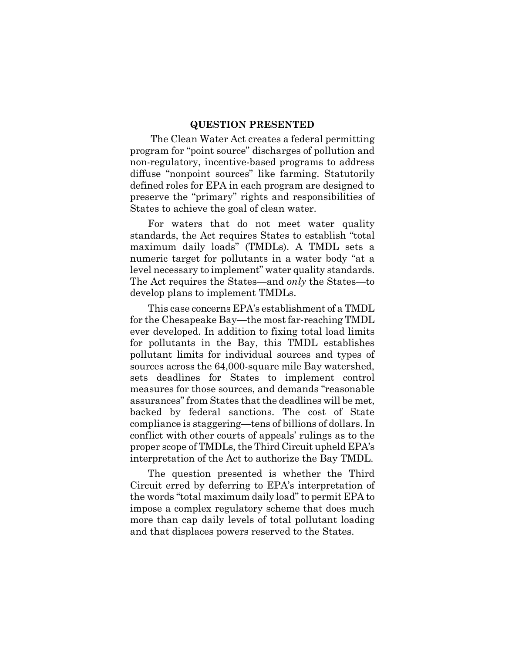#### <span id="page-1-0"></span>**QUESTION PRESENTED**

The Clean Water Act creates a federal permitting program for "point source" discharges of pollution and non-regulatory, incentive-based programs to address diffuse "nonpoint sources" like farming. Statutorily defined roles for EPA in each program are designed to preserve the "primary" rights and responsibilities of States to achieve the goal of clean water.

For waters that do not meet water quality standards, the Act requires States to establish "total maximum daily loads" (TMDLs). A TMDL sets a numeric target for pollutants in a water body "at a level necessary to implement" water quality standards. The Act requires the States—and *only* the States—to develop plans to implement TMDLs.

This case concerns EPA's establishment of a TMDL for the Chesapeake Bay—the most far-reaching TMDL ever developed. In addition to fixing total load limits for pollutants in the Bay, this TMDL establishes pollutant limits for individual sources and types of sources across the 64,000-square mile Bay watershed, sets deadlines for States to implement control measures for those sources, and demands "reasonable assurances" from States that the deadlines will be met, backed by federal sanctions. The cost of State compliance is staggering—tens of billions of dollars. In conflict with other courts of appeals' rulings as to the proper scope of TMDLs, the Third Circuit upheld EPA's interpretation of the Act to authorize the Bay TMDL.

The question presented is whether the Third Circuit erred by deferring to EPA's interpretation of the words "total maximum daily load" to permit EPA to impose a complex regulatory scheme that does much more than cap daily levels of total pollutant loading and that displaces powers reserved to the States.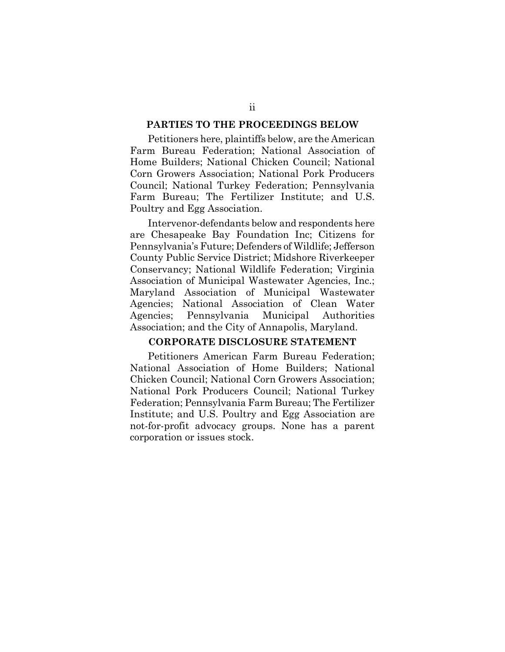#### <span id="page-2-0"></span>**PARTIES TO THE PROCEEDINGS BELOW**

Petitioners here, plaintiffs below, are the American Farm Bureau Federation; National Association of Home Builders; National Chicken Council; National Corn Growers Association; National Pork Producers Council; National Turkey Federation; Pennsylvania Farm Bureau; The Fertilizer Institute; and U.S. Poultry and Egg Association.

Intervenor-defendants below and respondents here are Chesapeake Bay Foundation Inc; Citizens for Pennsylvania's Future; Defenders of Wildlife; Jefferson County Public Service District; Midshore Riverkeeper Conservancy; National Wildlife Federation; Virginia Association of Municipal Wastewater Agencies, Inc.; Maryland Association of Municipal Wastewater Agencies; National Association of Clean Water Agencies; Pennsylvania Municipal Authorities Association; and the City of Annapolis, Maryland.

#### <span id="page-2-1"></span>**CORPORATE DISCLOSURE STATEMENT**

Petitioners American Farm Bureau Federation; National Association of Home Builders; National Chicken Council; National Corn Growers Association; National Pork Producers Council; National Turkey Federation; Pennsylvania Farm Bureau; The Fertilizer Institute; and U.S. Poultry and Egg Association are not-for-profit advocacy groups. None has a parent corporation or issues stock.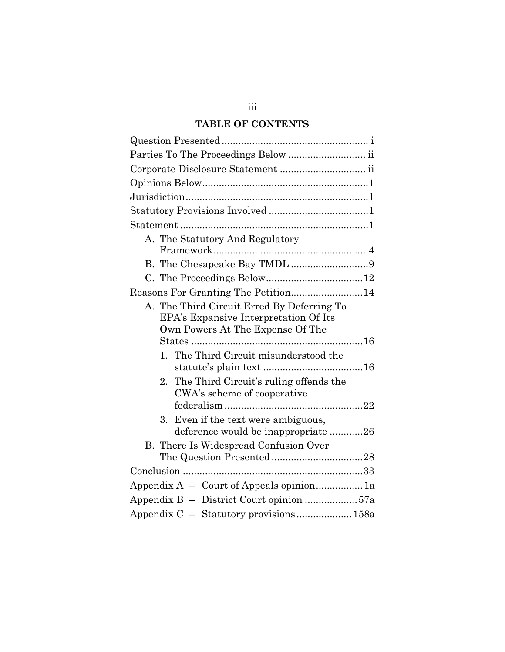## **TABLE OF CONTENTS**

| A. The Statutory And Regulatory                                                                                         |  |  |
|-------------------------------------------------------------------------------------------------------------------------|--|--|
|                                                                                                                         |  |  |
|                                                                                                                         |  |  |
|                                                                                                                         |  |  |
| Reasons For Granting The Petition14                                                                                     |  |  |
| A. The Third Circuit Erred By Deferring To<br>EPA's Expansive Interpretation Of Its<br>Own Powers At The Expense Of The |  |  |
|                                                                                                                         |  |  |
| 1. The Third Circuit misunderstood the                                                                                  |  |  |
| The Third Circuit's ruling offends the<br>2.<br>CWA's scheme of cooperative                                             |  |  |
|                                                                                                                         |  |  |
| Even if the text were ambiguous,<br>3.<br>deference would be inappropriate 26                                           |  |  |
| B. There Is Widespread Confusion Over                                                                                   |  |  |
|                                                                                                                         |  |  |
| Appendix A – Court of Appeals opinion1a                                                                                 |  |  |
| Appendix B - District Court opinion 57a                                                                                 |  |  |
|                                                                                                                         |  |  |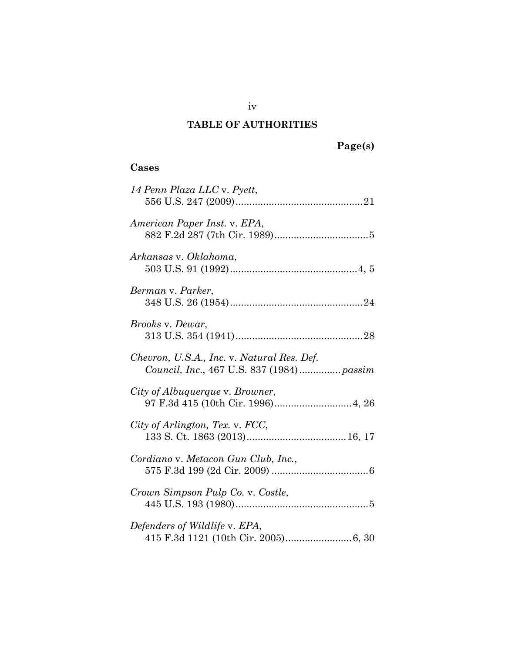## **TABLE OF AUTHORITIES**

# **Page(s)**

## **Cases**

| 14 Penn Plaza LLC v. Pyett,                                                             |
|-----------------------------------------------------------------------------------------|
| American Paper Inst. v. EPA,                                                            |
| Arkansas v. Oklahoma,                                                                   |
| Berman v. Parker,                                                                       |
| <i>Brooks v. Dewar,</i>                                                                 |
| Chevron, U.S.A., Inc. v. Natural Res. Def.<br>Council, Inc., 467 U.S. 837 (1984) passim |
| City of Albuquerque v. Browner,                                                         |
| City of Arlington, Tex. v. FCC,                                                         |
| Cordiano v. Metacon Gun Club, Inc.,                                                     |
| Crown Simpson Pulp Co. v. Costle,                                                       |
| Defenders of Wildlife v. EPA,                                                           |

iv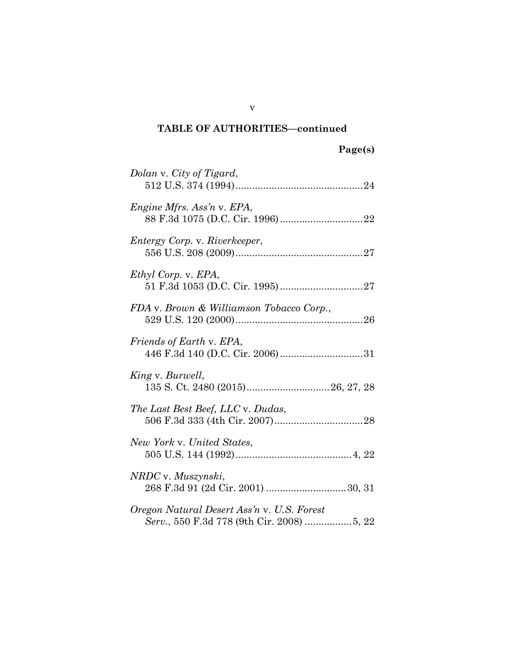## **TABLE OF AUTHORITIES—continued**

| Dolan v. City of Tigard,                                                                 |
|------------------------------------------------------------------------------------------|
| <i>Engine Mfrs. Ass'n v. EPA,</i>                                                        |
| <i>Entergy Corp. v. Riverkeeper,</i>                                                     |
| <i>Ethyl Corp.</i> v. <i>EPA</i> ,                                                       |
| FDA v. Brown & Williamson Tobacco Corp.,                                                 |
| Friends of Earth v. EPA,                                                                 |
| King v. Burwell,                                                                         |
| The Last Best Beef, LLC v. Dudas,                                                        |
| New York v. United States,                                                               |
| NRDC v. Muszynski,<br>268 F.3d 91 (2d Cir. 2001) 30, 31                                  |
| Oregon Natural Desert Ass'n v. U.S. Forest<br>Serv., 550 F.3d 778 (9th Cir. 2008)  5, 22 |

v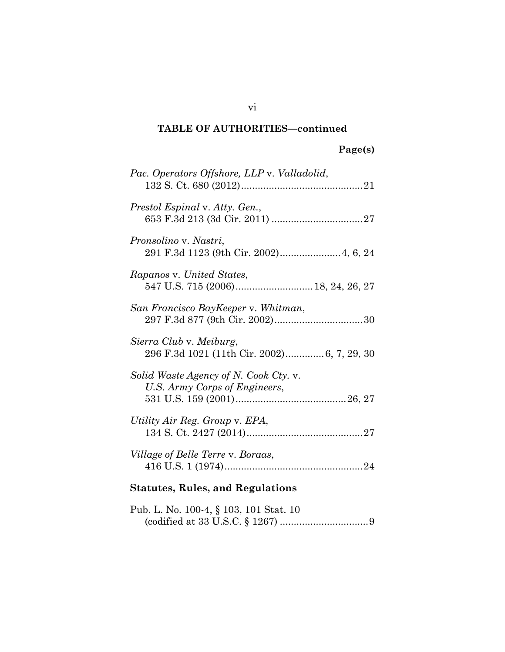## **TABLE OF AUTHORITIES—continued**

## **Page(s)**

| Pac. Operators Offshore, LLP v. Valladolid,                            |
|------------------------------------------------------------------------|
| Prestol Espinal v. Atty. Gen.,                                         |
| Pronsolino v. Nastri,                                                  |
| Rapanos v. United States,                                              |
| San Francisco BayKeeper v. Whitman,                                    |
| Sierra Club v. Meiburg,<br>296 F.3d 1021 (11th Cir. 2002)6, 7, 29, 30  |
| Solid Waste Agency of N. Cook Cty. v.<br>U.S. Army Corps of Engineers, |
| Utility Air Reg. Group v. EPA,                                         |
| <i>Village of Belle Terre v. Boraas,</i>                               |
| <b>Statutes, Rules, and Regulations</b>                                |

| Pub. L. No. 100-4, § 103, 101 Stat. 10 |  |  |
|----------------------------------------|--|--|
|                                        |  |  |

vi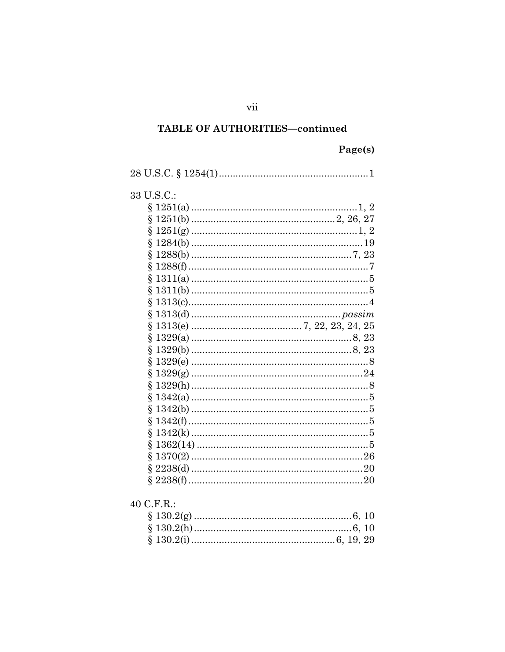## TABLE OF AUTHORITIES-continued

# Page(s)

| 33 U.S.C.: |  |
|------------|--|
|            |  |
|            |  |
|            |  |
|            |  |
|            |  |
|            |  |
|            |  |
|            |  |
|            |  |
|            |  |
|            |  |
|            |  |
| 8          |  |
|            |  |
|            |  |
|            |  |
|            |  |
|            |  |
|            |  |
| 8          |  |
|            |  |
|            |  |
|            |  |

| 40 C.F.R.: |  |
|------------|--|

 $\rm vii$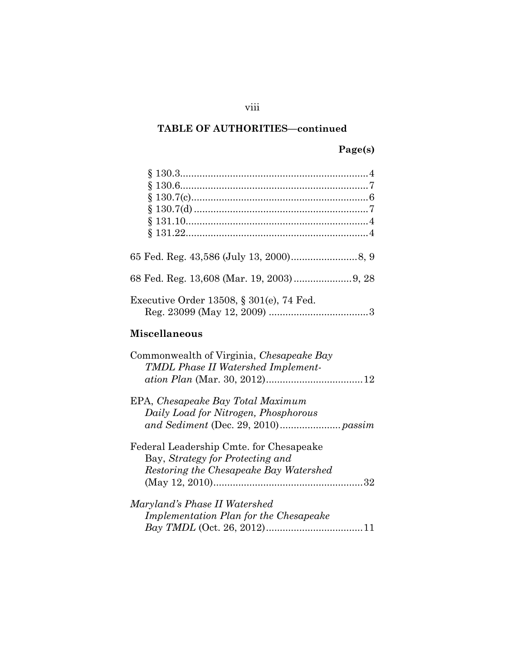## **TABLE OF AUTHORITIES—continued**

## **Page(s)**

| §.                                        |
|-------------------------------------------|
|                                           |
|                                           |
|                                           |
|                                           |
|                                           |
| Executive Order 13508, § 301(e), 74 Fed.  |
|                                           |
|                                           |
| Miscellaneous                             |
| Commonwealth of Virginia, Chesapeake Bay  |
| <b>TMDL</b> Phase II Watershed Implement- |
|                                           |
|                                           |
| EPA, Chesapeake Bay Total Maximum         |
| Daily Load for Nitrogen, Phosphorous      |
|                                           |
|                                           |
| Federal Leadership Cmte. for Chesapeake   |
| Bay, Strategy for Protecting and          |
| Restoring the Chesapeake Bay Watershed    |
|                                           |
|                                           |
| Maryland's Phase II Watershed             |
| Implementation Plan for the Chesapeake    |
|                                           |

viii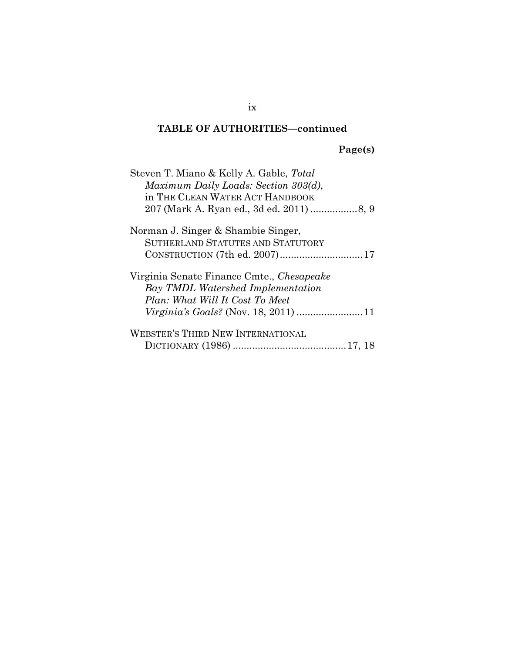## **TABLE OF AUTHORITIES—continued**

# **Page(s)**

| Steven T. Miano & Kelly A. Gable, Total   |
|-------------------------------------------|
| Maximum Daily Loads: Section 303(d),      |
| in THE CLEAN WATER ACT HANDBOOK           |
|                                           |
| Norman J. Singer & Shambie Singer,        |
| SUTHERLAND STATUTES AND STATUTORY         |
|                                           |
| Virginia Senate Finance Cmte., Chesapeake |
| Bay TMDL Watershed Implementation         |
| Plan: What Will It Cost To Meet           |
|                                           |
| <b>WEBSTER'S THIRD NEW INTERNATIONAL</b>  |
|                                           |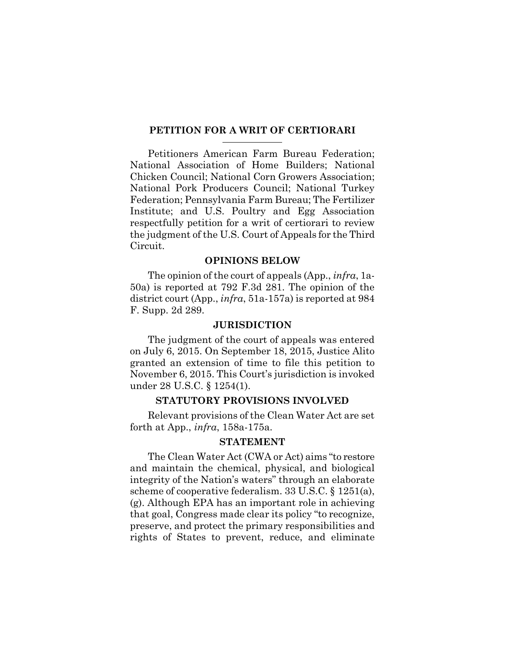#### **PETITION FOR A WRIT OF CERTIORARI**

Petitioners American Farm Bureau Federation; National Association of Home Builders; National Chicken Council; National Corn Growers Association; National Pork Producers Council; National Turkey Federation; Pennsylvania Farm Bureau; The Fertilizer Institute; and U.S. Poultry and Egg Association respectfully petition for a writ of certiorari to review the judgment of the U.S. Court of Appeals for the Third Circuit.

#### <span id="page-10-0"></span>**OPINIONS BELOW**

The opinion of the court of appeals (App., *infra*, 1a-50a) is reported at 792 F.3d 281. The opinion of the district court (App., *infra*, 51a-157a) is reported at 984 F. Supp. 2d 289.

#### <span id="page-10-1"></span>**JURISDICTION**

The judgment of the court of appeals was entered on July 6, 2015. On September 18, 2015, Justice Alito granted an extension of time to file this petition to November 6, 2015. This Court's jurisdiction is invoked under 28 U.S.C. § 1254(1).

#### <span id="page-10-4"></span><span id="page-10-2"></span>**STATUTORY PROVISIONS INVOLVED**

Relevant provisions of the Clean Water Act are set forth at App., *infra*, 158a-175a.

#### <span id="page-10-5"></span><span id="page-10-3"></span>**STATEMENT**

The Clean Water Act (CWA or Act) aims "to restore and maintain the chemical, physical, and biological integrity of the Nation's waters" through an elaborate scheme of cooperative federalism. 33 U.S.C. § 1251(a), (g). Although EPA has an important role in achieving that goal, Congress made clear its policy "to recognize, preserve, and protect the primary responsibilities and rights of States to prevent, reduce, and eliminate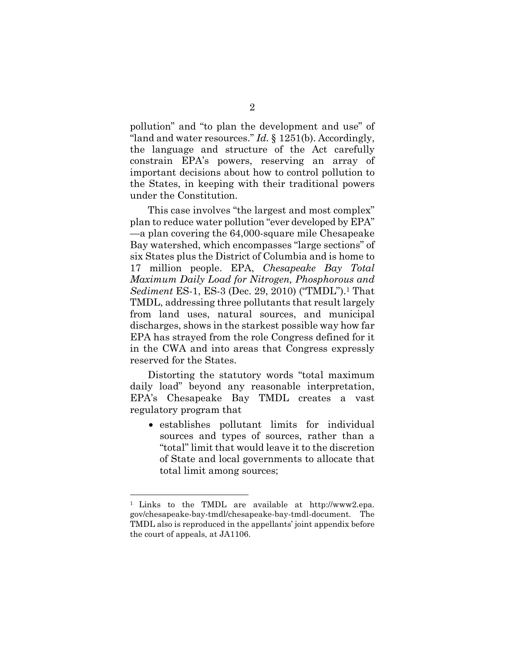<span id="page-11-0"></span>pollution" and "to plan the development and use" of "land and water resources." *Id.* § 1251(b). Accordingly, the language and structure of the Act carefully constrain EPA's powers, reserving an array of important decisions about how to control pollution to the States, in keeping with their traditional powers under the Constitution.

This case involves "the largest and most complex" plan to reduce water pollution "ever developed by EPA" —a plan covering the 64,000-square mile Chesapeake Bay watershed, which encompasses "large sections" of six States plus the District of Columbia and is home to 17 million people. EPA, *Chesapeake Bay Total Maximum Daily Load for Nitrogen, Phosphorous and Sediment* ES-1, ES-3 (Dec. 29, 2010) ("TMDL").[1](#page-11-1) That TMDL, addressing three pollutants that result largely from land uses, natural sources, and municipal discharges, shows in the starkest possible way how far EPA has strayed from the role Congress defined for it in the CWA and into areas that Congress expressly reserved for the States.

Distorting the statutory words "total maximum daily load" beyond any reasonable interpretation, EPA's Chesapeake Bay TMDL creates a vast regulatory program that

• establishes pollutant limits for individual sources and types of sources, rather than a "total" limit that would leave it to the discretion of State and local governments to allocate that total limit among sources;

<span id="page-11-1"></span><sup>1</sup> Links to the TMDL are available at http://www2.epa. gov/chesapeake-bay-tmdl/chesapeake-bay-tmdl-document. The TMDL also is reproduced in the appellants' joint appendix before the court of appeals, at JA1106.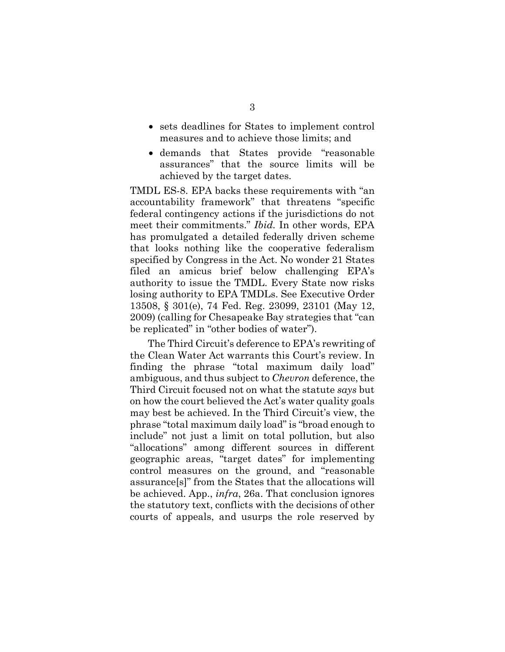- sets deadlines for States to implement control measures and to achieve those limits; and
- demands that States provide "reasonable assurances" that the source limits will be achieved by the target dates.

TMDL ES-8. EPA backs these requirements with "an accountability framework" that threatens "specific federal contingency actions if the jurisdictions do not meet their commitments." *Ibid.* In other words, EPA has promulgated a detailed federally driven scheme that looks nothing like the cooperative federalism specified by Congress in the Act. No wonder 21 States filed an amicus brief below challenging EPA's authority to issue the TMDL. Every State now risks losing authority to EPA TMDLs. See Executive Order 13508, § 301(e), 74 Fed. Reg. 23099, 23101 (May 12, 2009) (calling for Chesapeake Bay strategies that "can be replicated" in "other bodies of water").

<span id="page-12-0"></span>The Third Circuit's deference to EPA's rewriting of the Clean Water Act warrants this Court's review. In finding the phrase "total maximum daily load" ambiguous, and thus subject to *Chevron* deference, the Third Circuit focused not on what the statute *says* but on how the court believed the Act's water quality goals may best be achieved. In the Third Circuit's view, the phrase "total maximum daily load" is "broad enough to include" not just a limit on total pollution, but also "allocations" among different sources in different geographic areas, "target dates" for implementing control measures on the ground, and "reasonable assurance[s]" from the States that the allocations will be achieved. App., *infra*, 26a. That conclusion ignores the statutory text, conflicts with the decisions of other courts of appeals, and usurps the role reserved by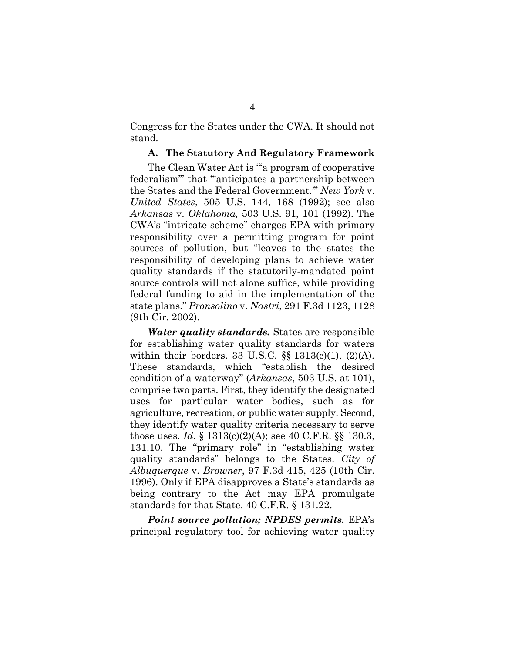Congress for the States under the CWA. It should not stand.

#### <span id="page-13-3"></span><span id="page-13-0"></span>**A. The Statutory And Regulatory Framework**

<span id="page-13-1"></span>The Clean Water Act is "'a program of cooperative federalism'" that "'anticipates a partnership between the States and the Federal Government.'" *New York* v. *United States*, 505 U.S. 144, 168 (1992); see also *Arkansas* v. *Oklahoma,* 503 U.S. 91, 101 (1992). The CWA's "intricate scheme" charges EPA with primary responsibility over a permitting program for point sources of pollution, but "leaves to the states the responsibility of developing plans to achieve water quality standards if the statutorily-mandated point source controls will not alone suffice, while providing federal funding to aid in the implementation of the state plans." *Pronsolino* v. *Nastri*, 291 F.3d 1123, 1128 (9th Cir. 2002).

<span id="page-13-5"></span><span id="page-13-4"></span>*Water quality standards.* States are responsible for establishing water quality standards for waters within their borders. 33 U.S.C. §§ 1313(c)(1), (2)(A). These standards, which "establish the desired condition of a waterway" (*Arkansas*, 503 U.S. at 101), comprise two parts. First, they identify the designated uses for particular water bodies, such as for agriculture, recreation, or public water supply. Second, they identify water quality criteria necessary to serve those uses. *Id.* § 1313(c)(2)(A); see 40 C.F.R. §§ 130.3, 131.10. The "primary role" in "establishing water quality standards" belongs to the States. *City of Albuquerque* v. *Browner*, 97 F.3d 415, 425 (10th Cir. 1996). Only if EPA disapproves a State's standards as being contrary to the Act may EPA promulgate standards for that State. 40 C.F.R. § 131.22.

<span id="page-13-7"></span><span id="page-13-6"></span><span id="page-13-2"></span>*Point source pollution; NPDES permits.* EPA's principal regulatory tool for achieving water quality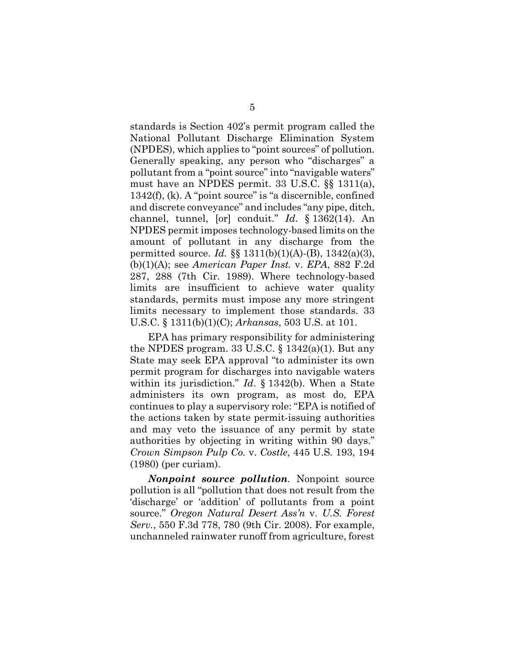<span id="page-14-3"></span>standards is Section 402's permit program called the National Pollutant Discharge Elimination System (NPDES), which applies to "point sources" of pollution. Generally speaking, any person who "discharges" a pollutant from a "point source" into "navigable waters" must have an NPDES permit. 33 U.S.C. §§ 1311(a), 1342(f), (k). A "point source" is "a discernible, confined and discrete conveyance" and includes "any pipe, ditch, channel, tunnel, [or] conduit." *Id*. § 1362(14). An NPDES permit imposes technology-based limits on the amount of pollutant in any discharge from the permitted source. *Id.* §§ 1311(b)(1)(A)-(B), 1342(a)(3), (b)(1)(A); see *American Paper Inst.* v. *EPA*, 882 F.2d 287, 288 (7th Cir. 1989). Where technology-based limits are insufficient to achieve water quality standards, permits must impose any more stringent limits necessary to implement those standards. 33 U.S.C. § 1311(b)(1)(C); *Arkansas*, 503 U.S. at 101.

<span id="page-14-5"></span><span id="page-14-4"></span><span id="page-14-1"></span><span id="page-14-0"></span>EPA has primary responsibility for administering the NPDES program. 33 U.S.C.  $\S$  1342(a)(1). But any State may seek EPA approval "to administer its own permit program for discharges into navigable waters within its jurisdiction." *Id*. § 1342(b). When a State administers its own program, as most do, EPA continues to play a supervisory role: "EPA is notified of the actions taken by state permit-issuing authorities and may veto the issuance of any permit by state authorities by objecting in writing within 90 days." *Crown Simpson Pulp Co.* v. *Costle*, 445 U.S. 193, 194 (1980) (per curiam).

<span id="page-14-2"></span>*Nonpoint source pollution.* Nonpoint source pollution is all "pollution that does not result from the 'discharge' or 'addition' of pollutants from a point source." *Oregon Natural Desert Ass'n* v. *U.S. Forest Serv.*, 550 F.3d 778, 780 (9th Cir. 2008). For example, unchanneled rainwater runoff from agriculture, forest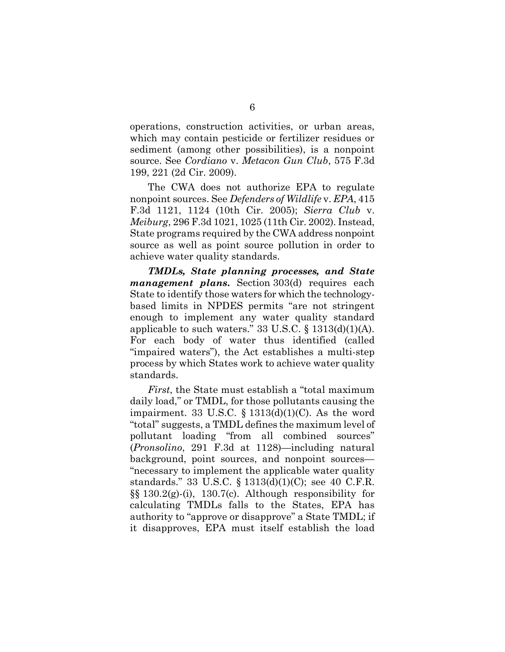<span id="page-15-0"></span>operations, construction activities, or urban areas, which may contain pesticide or fertilizer residues or sediment (among other possibilities), is a nonpoint source. See *Cordiano* v. *Metacon Gun Club*, 575 F.3d 199, 221 (2d Cir. 2009).

<span id="page-15-3"></span><span id="page-15-1"></span>The CWA does not authorize EPA to regulate nonpoint sources. See *Defenders of Wildlife* v. *EPA*, 415 F.3d 1121, 1124 (10th Cir. 2005); *Sierra Club* v. *Meiburg*, 296 F.3d 1021, 1025 (11th Cir. 2002). Instead, State programs required by the CWA address nonpoint source as well as point source pollution in order to achieve water quality standards.

*TMDLs, State planning processes, and State management plans***.** Section 303(d) requires each State to identify those waters for which the technologybased limits in NPDES permits "are not stringent enough to implement any water quality standard applicable to such waters." 33 U.S.C.  $\S$  1313(d)(1)(A). For each body of water thus identified (called "impaired waters"), the Act establishes a multi-step process by which States work to achieve water quality standards.

<span id="page-15-2"></span>*First*, the State must establish a "total maximum daily load," or TMDL, for those pollutants causing the impairment. 33 U.S.C.  $\S$  1313(d)(1)(C). As the word "total" suggests, a TMDL defines the maximum level of pollutant loading "from all combined sources" (*Pronsolino*, 291 F.3d at 1128)—including natural background, point sources, and nonpoint sources— "necessary to implement the applicable water quality standards." 33 U.S.C. § 1313(d)(1)(C); see 40 C.F.R.  $\S$ § 130.2(g)-(i), 130.7(c). Although responsibility for calculating TMDLs falls to the States, EPA has authority to "approve or disapprove" a State TMDL; if it disapproves, EPA must itself establish the load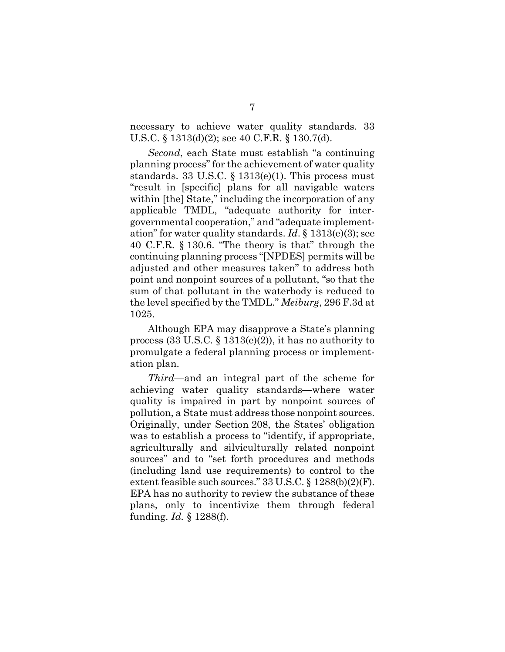<span id="page-16-4"></span>necessary to achieve water quality standards. 33 U.S.C. § 1313(d)(2); see 40 C.F.R. § 130.7(d).

<span id="page-16-3"></span><span id="page-16-2"></span>*Second*, each State must establish "a continuing planning process" for the achievement of water quality standards. 33 U.S.C. § 1313(e)(1). This process must "result in [specific] plans for all navigable waters within [the] State," including the incorporation of any applicable TMDL, "adequate authority for intergovernmental cooperation," and "adequate implementation" for water quality standards. *Id*. § 1313(e)(3); see 40 C.F.R. § 130.6. "The theory is that" through the continuing planning process "[NPDES] permits will be adjusted and other measures taken" to address both point and nonpoint sources of a pollutant, "so that the sum of that pollutant in the waterbody is reduced to the level specified by the TMDL." *Meiburg*, 296 F.3d at 1025.

<span id="page-16-0"></span>Although EPA may disapprove a State's planning process  $(33 \text{ U.S.C.} \S 1313(e)(2))$ , it has no authority to promulgate a federal planning process or implementation plan.

<span id="page-16-1"></span>*Third*—and an integral part of the scheme for achieving water quality standards—where water quality is impaired in part by nonpoint sources of pollution, a State must address those nonpoint sources. Originally, under Section 208, the States' obligation was to establish a process to "identify, if appropriate, agriculturally and silviculturally related nonpoint sources" and to "set forth procedures and methods (including land use requirements) to control to the extent feasible such sources." 33 U.S.C. § 1288(b)(2)(F). EPA has no authority to review the substance of these plans, only to incentivize them through federal funding. *Id.* § 1288(f).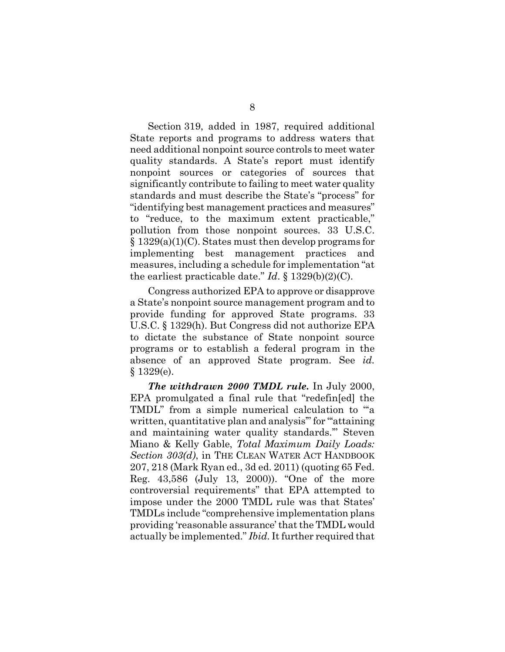Section 319, added in 1987, required additional State reports and programs to address waters that need additional nonpoint source controls to meet water quality standards. A State's report must identify nonpoint sources or categories of sources that significantly contribute to failing to meet water quality standards and must describe the State's "process" for "identifying best management practices and measures" to "reduce, to the maximum extent practicable," pollution from those nonpoint sources. 33 U.S.C. § 1329(a)(1)(C). States must then develop programs for implementing best management practices and measures, including a schedule for implementation "at the earliest practicable date." *Id*. § 1329(b)(2)(C).

<span id="page-17-1"></span><span id="page-17-0"></span>Congress authorized EPA to approve or disapprove a State's nonpoint source management program and to provide funding for approved State programs. 33 U.S.C. § 1329(h). But Congress did not authorize EPA to dictate the substance of State nonpoint source programs or to establish a federal program in the absence of an approved State program. See *id.* § 1329(e).

<span id="page-17-2"></span>*The withdrawn 2000 TMDL rule.* In July 2000, EPA promulgated a final rule that "redefin[ed] the TMDL" from a simple numerical calculation to "a written, quantitative plan and analysis" for ""attaining" and maintaining water quality standards.'" Steven Miano & Kelly Gable, *Total Maximum Daily Loads: Section 303(d)*, in THE CLEAN WATER ACT HANDBOOK 207, 218 (Mark Ryan ed., 3d ed. 2011) (quoting 65 Fed. Reg. 43,586 (July 13, 2000)). "One of the more controversial requirements" that EPA attempted to impose under the 2000 TMDL rule was that States' TMDLs include "comprehensive implementation plans providing 'reasonable assurance' that the TMDL would actually be implemented." *Ibid*. It further required that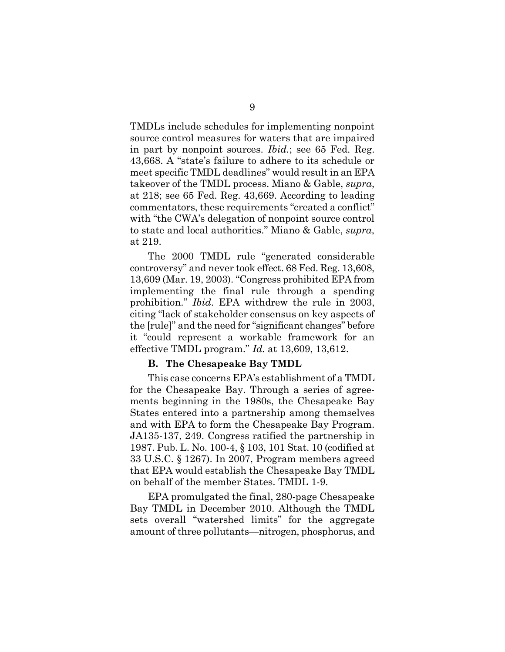TMDLs include schedules for implementing nonpoint source control measures for waters that are impaired in part by nonpoint sources. *Ibid.*; see 65 Fed. Reg. 43,668. A "state's failure to adhere to its schedule or meet specific TMDL deadlines" would result in an EPA takeover of the TMDL process. Miano & Gable, *supra*, at 218; see 65 Fed. Reg. 43,669. According to leading commentators, these requirements "created a conflict" with "the CWA's delegation of nonpoint source control to state and local authorities." Miano & Gable, *supra*, at 219.

<span id="page-18-2"></span>The 2000 TMDL rule "generated considerable controversy" and never took effect. 68 Fed. Reg. 13,608, 13,609 (Mar. 19, 2003). "Congress prohibited EPA from implementing the final rule through a spending prohibition." *Ibid*. EPA withdrew the rule in 2003, citing "lack of stakeholder consensus on key aspects of the [rule]" and the need for "significant changes" before it "could represent a workable framework for an effective TMDL program." *Id.* at 13,609, 13,612.

#### <span id="page-18-0"></span>**B. The Chesapeake Bay TMDL**

This case concerns EPA's establishment of a TMDL for the Chesapeake Bay. Through a series of agreements beginning in the 1980s, the Chesapeake Bay States entered into a partnership among themselves and with EPA to form the Chesapeake Bay Program. JA135-137, 249. Congress ratified the partnership in 1987. Pub. L. No. 100-4, § 103, 101 Stat. 10 (codified at 33 U.S.C. § 1267). In 2007, Program members agreed that EPA would establish the Chesapeake Bay TMDL on behalf of the member States. TMDL 1-9.

<span id="page-18-1"></span>EPA promulgated the final, 280-page Chesapeake Bay TMDL in December 2010. Although the TMDL sets overall "watershed limits" for the aggregate amount of three pollutants—nitrogen, phosphorus, and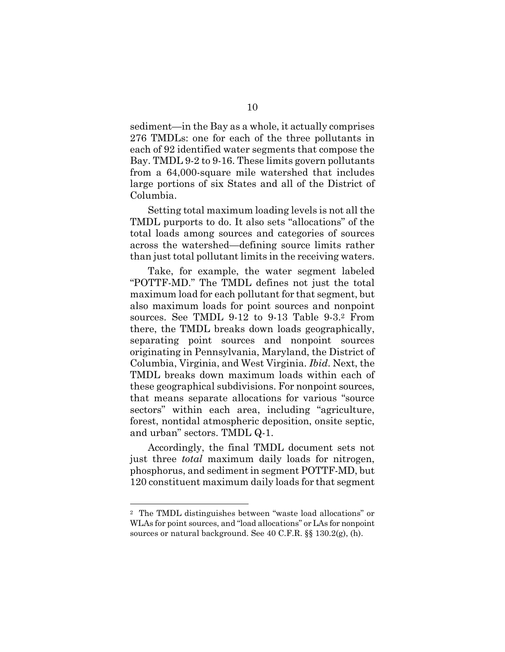sediment—in the Bay as a whole, it actually comprises 276 TMDLs: one for each of the three pollutants in each of 92 identified water segments that compose the Bay. TMDL 9-2 to 9-16. These limits govern pollutants from a 64,000-square mile watershed that includes large portions of six States and all of the District of Columbia.

Setting total maximum loading levels is not all the TMDL purports to do. It also sets "allocations" of the total loads among sources and categories of sources across the watershed—defining source limits rather than just total pollutant limits in the receiving waters.

Take, for example, the water segment labeled "POTTF-MD." The TMDL defines not just the total maximum load for each pollutant for that segment, but also maximum loads for point sources and nonpoint sources. See TMDL 9-12 to 9-13 Table 9-3.[2](#page-19-1) From there, the TMDL breaks down loads geographically, separating point sources and nonpoint sources originating in Pennsylvania, Maryland, the District of Columbia, Virginia, and West Virginia. *Ibid*. Next, the TMDL breaks down maximum loads within each of these geographical subdivisions. For nonpoint sources, that means separate allocations for various "source sectors" within each area, including "agriculture, forest, nontidal atmospheric deposition, onsite septic, and urban" sectors. TMDL Q-1.

Accordingly, the final TMDL document sets not just three *total* maximum daily loads for nitrogen, phosphorus, and sediment in segment POTTF-MD, but 120 constituent maximum daily loads for that segment

<span id="page-19-1"></span><span id="page-19-0"></span><sup>2</sup> The TMDL distinguishes between "waste load allocations" or WLAs for point sources, and "load allocations" or LAs for nonpoint sources or natural background. See 40 C.F.R. §§ 130.2(g), (h).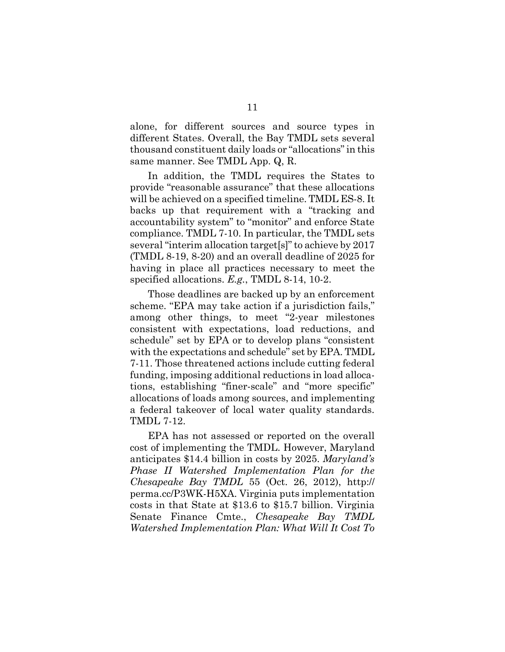alone, for different sources and source types in different States. Overall, the Bay TMDL sets several thousand constituent daily loads or "allocations" in this same manner. See TMDL App. Q, R.

In addition, the TMDL requires the States to provide "reasonable assurance" that these allocations will be achieved on a specified timeline. TMDL ES-8. It backs up that requirement with a "tracking and accountability system" to "monitor" and enforce State compliance. TMDL 7-10. In particular, the TMDL sets several "interim allocation target[s]" to achieve by 2017 (TMDL 8-19, 8-20) and an overall deadline of 2025 for having in place all practices necessary to meet the specified allocations. *E.g.*, TMDL 8-14, 10-2.

Those deadlines are backed up by an enforcement scheme. "EPA may take action if a jurisdiction fails," among other things, to meet "2-year milestones consistent with expectations, load reductions, and schedule" set by EPA or to develop plans "consistent with the expectations and schedule" set by EPA. TMDL 7-11. Those threatened actions include cutting federal funding, imposing additional reductions in load allocations, establishing "finer-scale" and "more specific" allocations of loads among sources, and implementing a federal takeover of local water quality standards. TMDL 7-12.

<span id="page-20-0"></span>EPA has not assessed or reported on the overall cost of implementing the TMDL. However, Maryland anticipates \$14.4 billion in costs by 2025. *Maryland's Phase II Watershed Implementation Plan for the Chesapeake Bay TMDL* 55 (Oct. 26, 2012), http:// perma.cc/P3WK-H5XA. Virginia puts implementation costs in that State at \$13.6 to \$15.7 billion. Virginia Senate Finance Cmte., *Chesapeake Bay TMDL Watershed Implementation Plan: What Will It Cost To*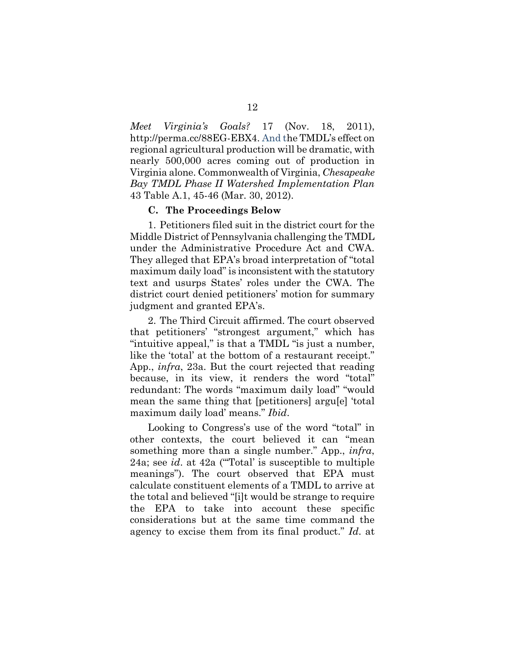*Meet Virginia's Goals?* 17 (Nov. 18, 2011), http://perma.cc/88EG-EBX4. And the TMDL's effect on regional agricultural production will be dramatic, with nearly 500,000 acres coming out of production in Virginia alone. Commonwealth of Virginia, *Chesapeake Bay TMDL Phase II Watershed Implementation Plan* 43 Table A.1, 45-46 (Mar. 30, 2012).

#### <span id="page-21-0"></span>**C. The Proceedings Below**

1. Petitioners filed suit in the district court for the Middle District of Pennsylvania challenging the TMDL under the Administrative Procedure Act and CWA. They alleged that EPA's broad interpretation of "total maximum daily load" is inconsistent with the statutory text and usurps States' roles under the CWA. The district court denied petitioners' motion for summary judgment and granted EPA's.

2. The Third Circuit affirmed. The court observed that petitioners' "strongest argument," which has "intuitive appeal," is that a TMDL "is just a number, like the 'total' at the bottom of a restaurant receipt." App., *infra*, 23a. But the court rejected that reading because, in its view, it renders the word "total" redundant: The words "maximum daily load" "would mean the same thing that [petitioners] argu[e] 'total maximum daily load' means." *Ibid*.

Looking to Congress's use of the word "total" in other contexts, the court believed it can "mean something more than a single number." App., *infra*, 24a; see *id*. at 42a ("'Total' is susceptible to multiple meanings"). The court observed that EPA must calculate constituent elements of a TMDL to arrive at the total and believed "[i]t would be strange to require the EPA to take into account these specific considerations but at the same time command the agency to excise them from its final product." *Id*. at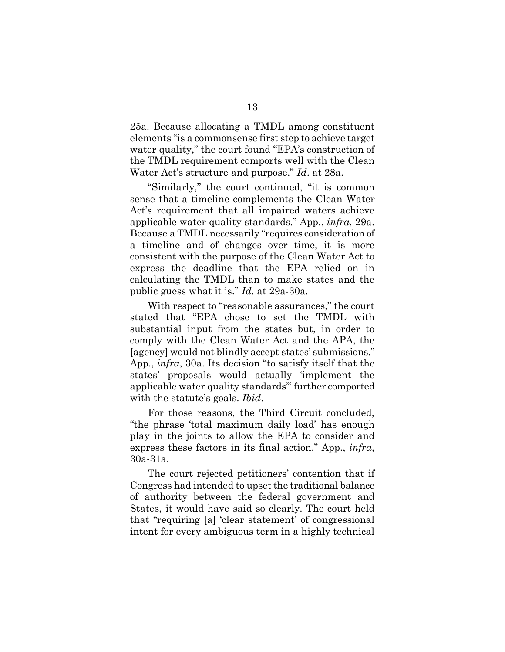25a. Because allocating a TMDL among constituent elements "is a commonsense first step to achieve target water quality," the court found "EPA's construction of the TMDL requirement comports well with the Clean Water Act's structure and purpose." *Id*. at 28a.

"Similarly," the court continued, "it is common sense that a timeline complements the Clean Water Act's requirement that all impaired waters achieve applicable water quality standards." App., *infra*, 29a. Because a TMDL necessarily "requires consideration of a timeline and of changes over time, it is more consistent with the purpose of the Clean Water Act to express the deadline that the EPA relied on in calculating the TMDL than to make states and the public guess what it is." *Id*. at 29a-30a.

With respect to "reasonable assurances," the court stated that "EPA chose to set the TMDL with substantial input from the states but, in order to comply with the Clean Water Act and the APA, the [agency] would not blindly accept states' submissions." App., *infra*, 30a. Its decision "to satisfy itself that the states' proposals would actually 'implement the applicable water quality standards'" further comported with the statute's goals. *Ibid*.

For those reasons, the Third Circuit concluded, "the phrase 'total maximum daily load' has enough play in the joints to allow the EPA to consider and express these factors in its final action." App., *infra*, 30a-31a.

The court rejected petitioners' contention that if Congress had intended to upset the traditional balance of authority between the federal government and States, it would have said so clearly. The court held that "requiring [a] 'clear statement' of congressional intent for every ambiguous term in a highly technical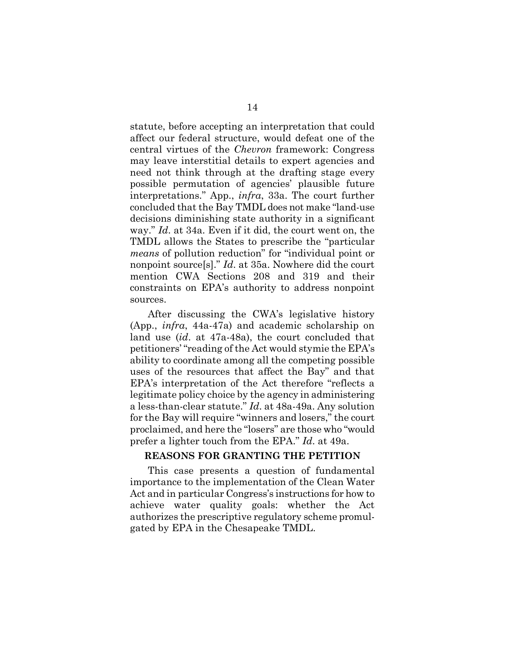statute, before accepting an interpretation that could affect our federal structure, would defeat one of the central virtues of the *Chevron* framework: Congress may leave interstitial details to expert agencies and need not think through at the drafting stage every possible permutation of agencies' plausible future interpretations." App., *infra*, 33a. The court further concluded that the Bay TMDL does not make "land-use decisions diminishing state authority in a significant way." *Id*. at 34a. Even if it did, the court went on, the TMDL allows the States to prescribe the "particular *means* of pollution reduction" for "individual point or nonpoint source[s]." *Id*. at 35a. Nowhere did the court mention CWA Sections 208 and 319 and their constraints on EPA's authority to address nonpoint sources.

After discussing the CWA's legislative history (App., *infra*, 44a-47a) and academic scholarship on land use (*id*. at 47a-48a), the court concluded that petitioners' "reading of the Act would stymie the EPA's ability to coordinate among all the competing possible uses of the resources that affect the Bay" and that EPA's interpretation of the Act therefore "reflects a legitimate policy choice by the agency in administering a less-than-clear statute." *Id*. at 48a-49a. Any solution for the Bay will require "winners and losers," the court proclaimed, and here the "losers" are those who "would prefer a lighter touch from the EPA." *Id*. at 49a.

#### <span id="page-23-0"></span>**REASONS FOR GRANTING THE PETITION**

This case presents a question of fundamental importance to the implementation of the Clean Water Act and in particular Congress's instructions for how to achieve water quality goals: whether the Act authorizes the prescriptive regulatory scheme promulgated by EPA in the Chesapeake TMDL.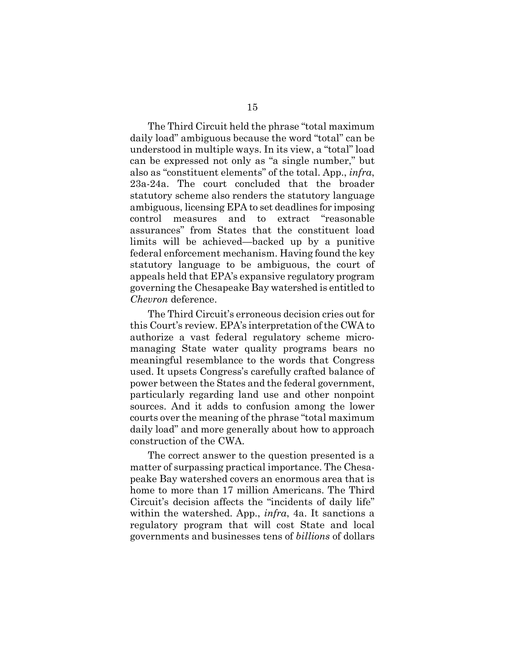The Third Circuit held the phrase "total maximum daily load" ambiguous because the word "total" can be understood in multiple ways. In its view, a "total" load can be expressed not only as "a single number," but also as "constituent elements" of the total. App., *infra*, 23a-24a. The court concluded that the broader statutory scheme also renders the statutory language ambiguous, licensing EPA to set deadlines for imposing control measures and to extract "reasonable assurances" from States that the constituent load limits will be achieved—backed up by a punitive federal enforcement mechanism. Having found the key statutory language to be ambiguous, the court of appeals held that EPA's expansive regulatory program governing the Chesapeake Bay watershed is entitled to *Chevron* deference.

The Third Circuit's erroneous decision cries out for this Court's review. EPA's interpretation of the CWA to authorize a vast federal regulatory scheme micromanaging State water quality programs bears no meaningful resemblance to the words that Congress used. It upsets Congress's carefully crafted balance of power between the States and the federal government, particularly regarding land use and other nonpoint sources. And it adds to confusion among the lower courts over the meaning of the phrase "total maximum daily load" and more generally about how to approach construction of the CWA.

The correct answer to the question presented is a matter of surpassing practical importance. The Chesapeake Bay watershed covers an enormous area that is home to more than 17 million Americans. The Third Circuit's decision affects the "incidents of daily life" within the watershed. App., *infra*, 4a. It sanctions a regulatory program that will cost State and local governments and businesses tens of *billions* of dollars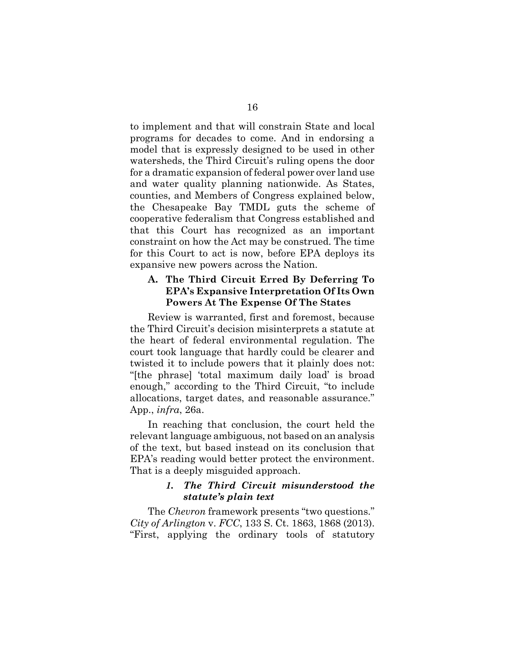to implement and that will constrain State and local programs for decades to come. And in endorsing a model that is expressly designed to be used in other watersheds, the Third Circuit's ruling opens the door for a dramatic expansion of federal power over land use and water quality planning nationwide. As States, counties, and Members of Congress explained below, the Chesapeake Bay TMDL guts the scheme of cooperative federalism that Congress established and that this Court has recognized as an important constraint on how the Act may be construed. The time for this Court to act is now, before EPA deploys its expansive new powers across the Nation.

## <span id="page-25-0"></span>**A. The Third Circuit Erred By Deferring To EPA's Expansive Interpretation Of Its Own Powers At The Expense Of The States**

Review is warranted, first and foremost, because the Third Circuit's decision misinterprets a statute at the heart of federal environmental regulation. The court took language that hardly could be clearer and twisted it to include powers that it plainly does not: "[the phrase] 'total maximum daily load' is broad enough," according to the Third Circuit, "to include allocations, target dates, and reasonable assurance." App., *infra*, 26a.

In reaching that conclusion, the court held the relevant language ambiguous, not based on an analysis of the text, but based instead on its conclusion that EPA's reading would better protect the environment. That is a deeply misguided approach.

## <span id="page-25-1"></span>*1. The Third Circuit misunderstood the statute's plain text*

<span id="page-25-2"></span>The *Chevron* framework presents "two questions." *City of Arlington* v. *FCC*, 133 S. Ct. 1863, 1868 (2013). "First, applying the ordinary tools of statutory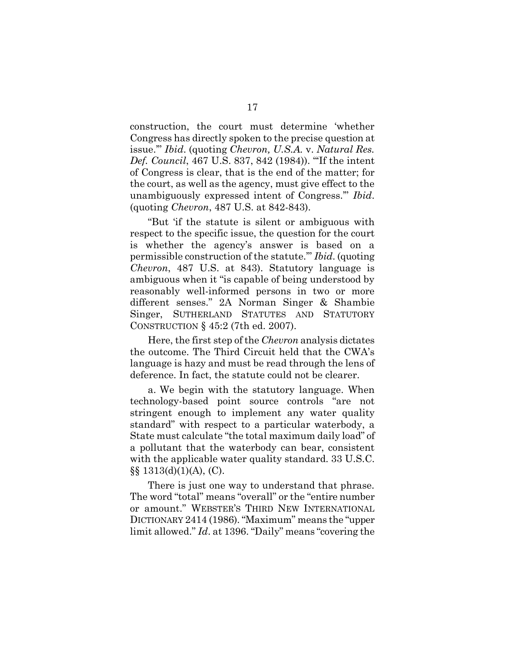<span id="page-26-0"></span>construction, the court must determine 'whether Congress has directly spoken to the precise question at issue.'" *Ibid*. (quoting *Chevron, U.S.A.* v. *Natural Res. Def. Council*, 467 U.S. 837, 842 (1984)). "'If the intent of Congress is clear, that is the end of the matter; for the court, as well as the agency, must give effect to the unambiguously expressed intent of Congress.'" *Ibid*. (quoting *Chevron*, 487 U.S. at 842-843).

"But 'if the statute is silent or ambiguous with respect to the specific issue, the question for the court is whether the agency's answer is based on a permissible construction of the statute.'" *Ibid*. (quoting *Chevron*, 487 U.S. at 843). Statutory language is ambiguous when it "is capable of being understood by reasonably well-informed persons in two or more different senses." 2A Norman Singer & Shambie Singer, SUTHERLAND STATUTES AND STATUTORY CONSTRUCTION § 45:2 (7th ed. 2007).

<span id="page-26-1"></span>Here, the first step of the *Chevron* analysis dictates the outcome. The Third Circuit held that the CWA's language is hazy and must be read through the lens of deference. In fact, the statute could not be clearer.

a. We begin with the statutory language. When technology-based point source controls "are not stringent enough to implement any water quality standard" with respect to a particular waterbody, a State must calculate "the total maximum daily load" of a pollutant that the waterbody can bear, consistent with the applicable water quality standard. 33 U.S.C.  $\S\S 1313(d)(1)(A)$ , (C).

<span id="page-26-2"></span>There is just one way to understand that phrase. The word "total" means "overall" or the "entire number or amount." WEBSTER'S THIRD NEW INTERNATIONAL DICTIONARY 2414 (1986). "Maximum" means the "upper limit allowed." *Id*. at 1396. "Daily" means "covering the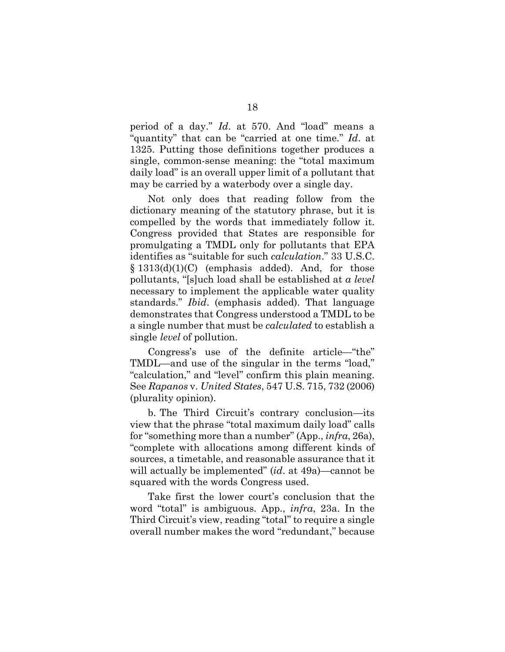period of a day." *Id*. at 570. And "load" means a "quantity" that can be "carried at one time." *Id*. at 1325. Putting those definitions together produces a single, common-sense meaning: the "total maximum daily load" is an overall upper limit of a pollutant that may be carried by a waterbody over a single day.

Not only does that reading follow from the dictionary meaning of the statutory phrase, but it is compelled by the words that immediately follow it. Congress provided that States are responsible for promulgating a TMDL only for pollutants that EPA identifies as "suitable for such *calculation*." 33 U.S.C.  $§ 1313(d)(1)(C)$  (emphasis added). And, for those pollutants, "[s]uch load shall be established at *a level* necessary to implement the applicable water quality standards." *Ibid*. (emphasis added). That language demonstrates that Congress understood a TMDL to be a single number that must be *calculated* to establish a single *level* of pollution.

<span id="page-27-0"></span>Congress's use of the definite article—"the" TMDL—and use of the singular in the terms "load," "calculation," and "level" confirm this plain meaning. See *Rapanos* v. *United States*, 547 U.S. 715, 732 (2006) (plurality opinion).

b. The Third Circuit's contrary conclusion—its view that the phrase "total maximum daily load" calls for "something more than a number" (App., *infra*, 26a), "complete with allocations among different kinds of sources, a timetable, and reasonable assurance that it will actually be implemented" (*id*. at 49a)—cannot be squared with the words Congress used.

Take first the lower court's conclusion that the word "total" is ambiguous. App., *infra*, 23a. In the Third Circuit's view, reading "total" to require a single overall number makes the word "redundant," because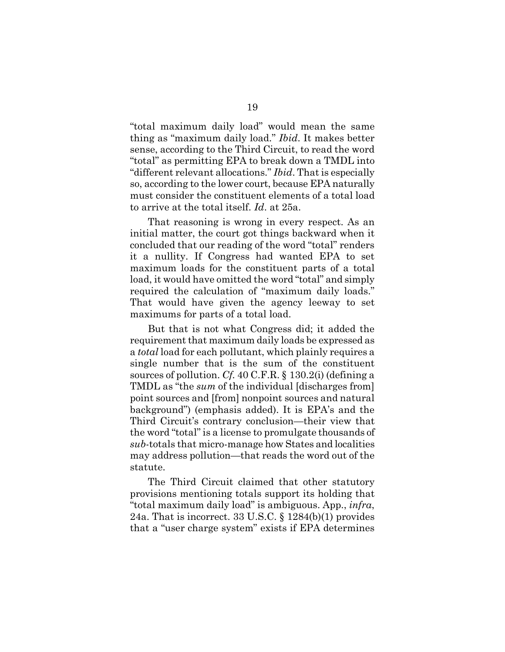"total maximum daily load" would mean the same thing as "maximum daily load." *Ibid*. It makes better sense, according to the Third Circuit, to read the word "total" as permitting EPA to break down a TMDL into "different relevant allocations." *Ibid*. That is especially so, according to the lower court, because EPA naturally must consider the constituent elements of a total load to arrive at the total itself. *Id*. at 25a.

That reasoning is wrong in every respect. As an initial matter, the court got things backward when it concluded that our reading of the word "total" renders it a nullity. If Congress had wanted EPA to set maximum loads for the constituent parts of a total load, it would have omitted the word "total" and simply required the calculation of "maximum daily loads." That would have given the agency leeway to set maximums for parts of a total load.

<span id="page-28-0"></span>But that is not what Congress did; it added the requirement that maximum daily loads be expressed as a *total* load for each pollutant, which plainly requires a single number that is the sum of the constituent sources of pollution. *Cf.* 40 C.F.R. § 130.2(i) (defining a TMDL as "the *sum* of the individual [discharges from] point sources and [from] nonpoint sources and natural background") (emphasis added). It is EPA's and the Third Circuit's contrary conclusion—their view that the word "total" is a license to promulgate thousands of *sub*-totals that micro-manage how States and localities may address pollution—that reads the word out of the statute.

The Third Circuit claimed that other statutory provisions mentioning totals support its holding that "total maximum daily load" is ambiguous. App., *infra*, 24a. That is incorrect. 33 U.S.C. § 1284(b)(1) provides that a "user charge system" exists if EPA determines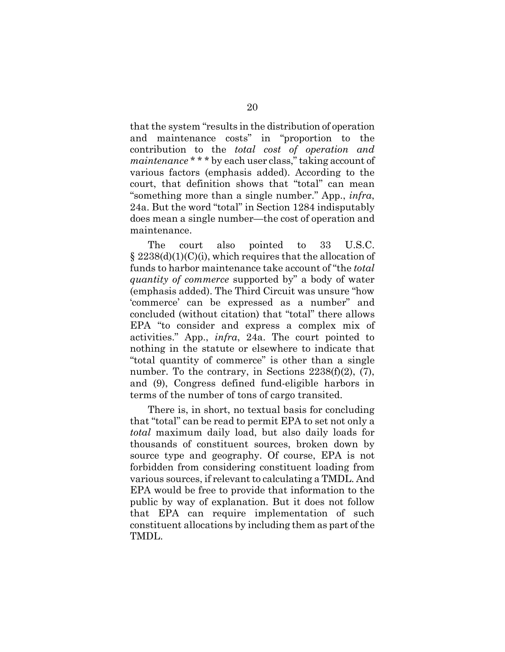that the system "results in the distribution of operation and maintenance costs" in "proportion to the contribution to the *total cost of operation and maintenance* \* \* \* by each user class," taking account of various factors (emphasis added). According to the court, that definition shows that "total" can mean "something more than a single number." App., *infra*, 24a. But the word "total" in Section 1284 indisputably does mean a single number—the cost of operation and maintenance.

<span id="page-29-0"></span>The court also pointed to 33 U.S.C.  $\S 2238(d)(1)(C)(i)$ , which requires that the allocation of funds to harbor maintenance take account of "the *total quantity of commerce* supported by" a body of water (emphasis added). The Third Circuit was unsure "how 'commerce' can be expressed as a number" and concluded (without citation) that "total" there allows EPA "to consider and express a complex mix of activities." App., *infra*, 24a. The court pointed to nothing in the statute or elsewhere to indicate that "total quantity of commerce" is other than a single number. To the contrary, in Sections 2238(f)(2), (7), and (9), Congress defined fund-eligible harbors in terms of the number of tons of cargo transited.

There is, in short, no textual basis for concluding that "total" can be read to permit EPA to set not only a *total* maximum daily load, but also daily loads for thousands of constituent sources, broken down by source type and geography. Of course, EPA is not forbidden from considering constituent loading from various sources, if relevant to calculating a TMDL. And EPA would be free to provide that information to the public by way of explanation. But it does not follow that EPA can require implementation of such constituent allocations by including them as part of the TMDL.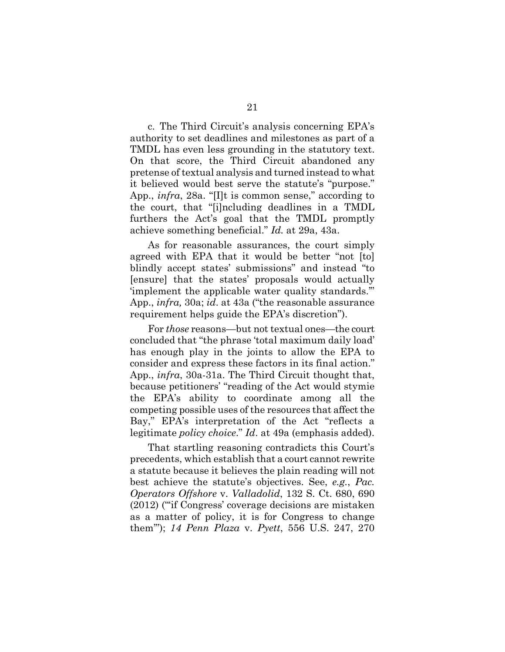c. The Third Circuit's analysis concerning EPA's authority to set deadlines and milestones as part of a TMDL has even less grounding in the statutory text. On that score, the Third Circuit abandoned any pretense of textual analysis and turned instead to what it believed would best serve the statute's "purpose." App., *infra*, 28a. "[I]t is common sense," according to the court, that "[i]ncluding deadlines in a TMDL furthers the Act's goal that the TMDL promptly achieve something beneficial." *Id.* at 29a, 43a.

As for reasonable assurances, the court simply agreed with EPA that it would be better "not [to] blindly accept states' submissions" and instead "to [ensure] that the states' proposals would actually 'implement the applicable water quality standards.'" App., *infra,* 30a; *id*. at 43a ("the reasonable assurance requirement helps guide the EPA's discretion").

For *those* reasons—but not textual ones—the court concluded that "the phrase 'total maximum daily load' has enough play in the joints to allow the EPA to consider and express these factors in its final action." App., *infra*, 30a-31a. The Third Circuit thought that, because petitioners' "reading of the Act would stymie the EPA's ability to coordinate among all the competing possible uses of the resources that affect the Bay," EPA's interpretation of the Act "reflects a legitimate *policy choice*." *Id*. at 49a (emphasis added).

<span id="page-30-1"></span><span id="page-30-0"></span>That startling reasoning contradicts this Court's precedents, which establish that a court cannot rewrite a statute because it believes the plain reading will not best achieve the statute's objectives. See, *e.g.*, *Pac. Operators Offshore* v. *Valladolid*, 132 S. Ct. 680, 690 (2012) ("'if Congress' coverage decisions are mistaken as a matter of policy, it is for Congress to change them'"); *14 Penn Plaza* v. *Pyett*, 556 U.S. 247, 270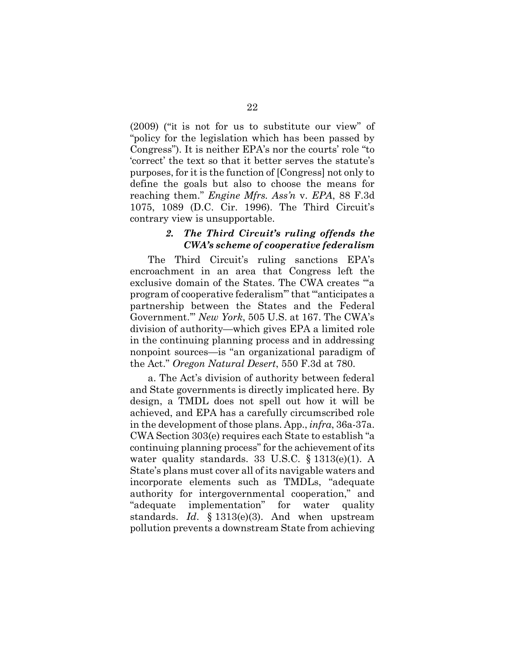(2009) ("it is not for us to substitute our view" of "policy for the legislation which has been passed by Congress"). It is neither EPA's nor the courts' role "to 'correct' the text so that it better serves the statute's purposes, for it is the function of [Congress] not only to define the goals but also to choose the means for reaching them." *Engine Mfrs. Ass'n* v. *EPA*, 88 F.3d 1075, 1089 (D.C. Cir. 1996). The Third Circuit's contrary view is unsupportable.

### <span id="page-31-2"></span><span id="page-31-1"></span><span id="page-31-0"></span>*2. The Third Circuit's ruling offends the CWA's scheme of cooperative federalism*

The Third Circuit's ruling sanctions EPA's encroachment in an area that Congress left the exclusive domain of the States. The CWA creates "'a program of cooperative federalism'" that "'anticipates a partnership between the States and the Federal Government.'" *New York*, 505 U.S. at 167. The CWA's division of authority—which gives EPA a limited role in the continuing planning process and in addressing nonpoint sources—is "an organizational paradigm of the Act." *Oregon Natural Desert*, 550 F.3d at 780.

<span id="page-31-4"></span><span id="page-31-3"></span>a. The Act's division of authority between federal and State governments is directly implicated here. By design, a TMDL does not spell out how it will be achieved, and EPA has a carefully circumscribed role in the development of those plans. App., *infra*, 36a-37a. CWA Section 303(e) requires each State to establish "a continuing planning process" for the achievement of its water quality standards. 33 U.S.C. § 1313(e)(1). A State's plans must cover all of its navigable waters and incorporate elements such as TMDLs, "adequate authority for intergovernmental cooperation," and "adequate implementation" for water quality standards. *Id*. § 1313(e)(3). And when upstream pollution prevents a downstream State from achieving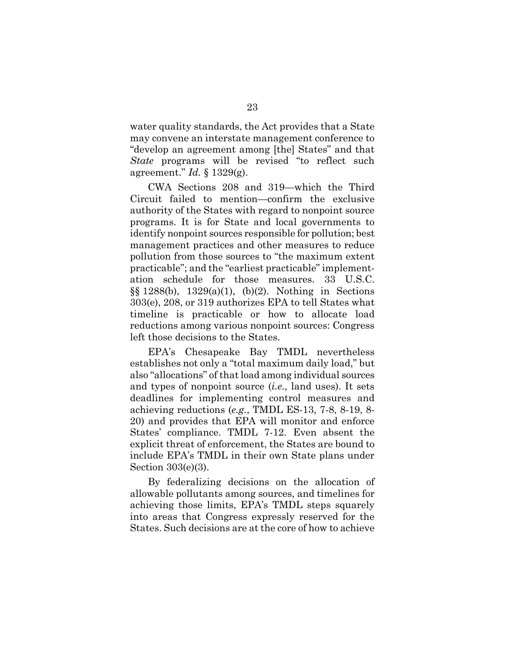water quality standards, the Act provides that a State may convene an interstate management conference to "develop an agreement among [the] States" and that *State* programs will be revised "to reflect such agreement." *Id.* § 1329(g).

CWA Sections 208 and 319—which the Third Circuit failed to mention—confirm the exclusive authority of the States with regard to nonpoint source programs. It is for State and local governments to identify nonpoint sources responsible for pollution; best management practices and other measures to reduce pollution from those sources to "the maximum extent practicable"; and the "earliest practicable" implementation schedule for those measures. 33 U.S.C. §§ 1288(b), 1329(a)(1), (b)(2). Nothing in Sections 303(e), 208, or 319 authorizes EPA to tell States what timeline is practicable or how to allocate load reductions among various nonpoint sources: Congress left those decisions to the States.

EPA's Chesapeake Bay TMDL nevertheless establishes not only a "total maximum daily load," but also "allocations" of that load among individual sources and types of nonpoint source (*i.e*., land uses). It sets deadlines for implementing control measures and achieving reductions (*e.g.*, TMDL ES-13, 7-8, 8-19, 8- 20) and provides that EPA will monitor and enforce States' compliance. TMDL 7-12. Even absent the explicit threat of enforcement, the States are bound to include EPA's TMDL in their own State plans under Section 303(e)(3).

By federalizing decisions on the allocation of allowable pollutants among sources, and timelines for achieving those limits, EPA's TMDL steps squarely into areas that Congress expressly reserved for the States. Such decisions are at the core of how to achieve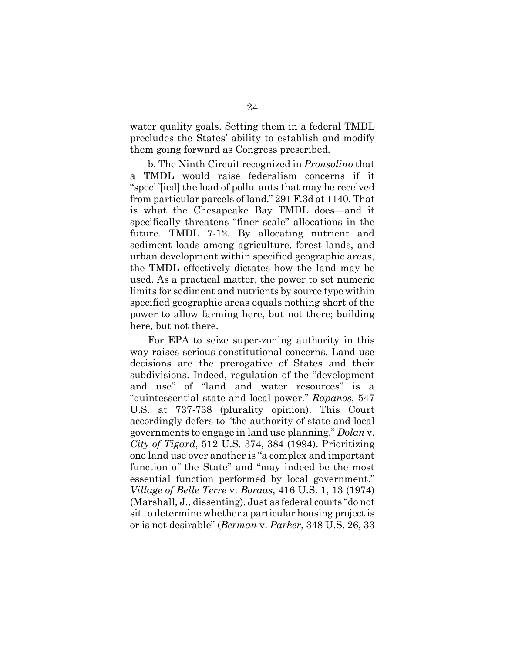water quality goals. Setting them in a federal TMDL precludes the States' ability to establish and modify them going forward as Congress prescribed.

<span id="page-33-2"></span>b. The Ninth Circuit recognized in *Pronsolino* that a TMDL would raise federalism concerns if it "specif[ied] the load of pollutants that may be received from particular parcels of land." 291 F.3d at 1140. That is what the Chesapeake Bay TMDL does—and it specifically threatens "finer scale" allocations in the future. TMDL 7-12. By allocating nutrient and sediment loads among agriculture, forest lands, and urban development within specified geographic areas, the TMDL effectively dictates how the land may be used. As a practical matter, the power to set numeric limits for sediment and nutrients by source type within specified geographic areas equals nothing short of the power to allow farming here, but not there; building here, but not there.

<span id="page-33-4"></span><span id="page-33-3"></span><span id="page-33-1"></span><span id="page-33-0"></span>For EPA to seize super-zoning authority in this way raises serious constitutional concerns. Land use decisions are the prerogative of States and their subdivisions. Indeed, regulation of the "development and use" of "land and water resources" is a "quintessential state and local power." *Rapanos*, 547 U.S. at 737-738 (plurality opinion). This Court accordingly defers to "the authority of state and local governments to engage in land use planning." *Dolan* v. *City of Tigard*, 512 U.S. 374, 384 (1994). Prioritizing one land use over another is "a complex and important function of the State" and "may indeed be the most essential function performed by local government." *Village of Belle Terre* v. *Boraas*, 416 U.S. 1, 13 (1974) (Marshall, J., dissenting). Just as federal courts "do not sit to determine whether a particular housing project is or is not desirable" (*Berman* v. *Parker*, 348 U.S. 26, 33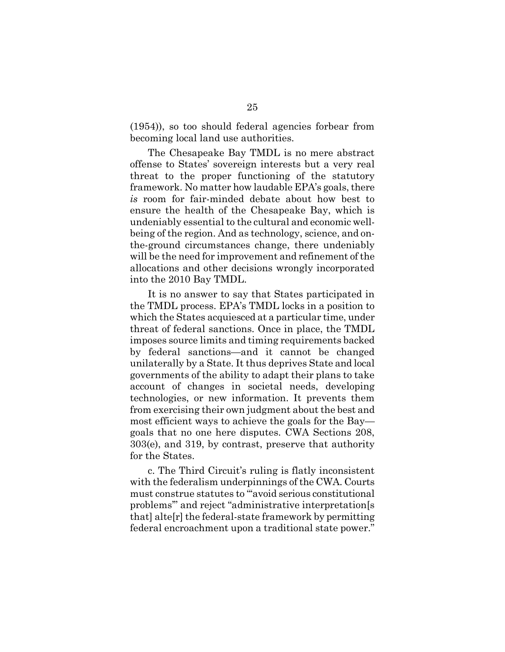(1954)), so too should federal agencies forbear from becoming local land use authorities.

The Chesapeake Bay TMDL is no mere abstract offense to States' sovereign interests but a very real threat to the proper functioning of the statutory framework. No matter how laudable EPA's goals, there *is* room for fair-minded debate about how best to ensure the health of the Chesapeake Bay, which is undeniably essential to the cultural and economic wellbeing of the region. And as technology, science, and onthe-ground circumstances change, there undeniably will be the need for improvement and refinement of the allocations and other decisions wrongly incorporated into the 2010 Bay TMDL.

It is no answer to say that States participated in the TMDL process. EPA's TMDL locks in a position to which the States acquiesced at a particular time, under threat of federal sanctions. Once in place, the TMDL imposes source limits and timing requirements backed by federal sanctions—and it cannot be changed unilaterally by a State. It thus deprives State and local governments of the ability to adapt their plans to take account of changes in societal needs, developing technologies, or new information. It prevents them from exercising their own judgment about the best and most efficient ways to achieve the goals for the Bay goals that no one here disputes. CWA Sections 208, 303(e), and 319, by contrast, preserve that authority for the States.

c. The Third Circuit's ruling is flatly inconsistent with the federalism underpinnings of the CWA. Courts must construe statutes to "'avoid serious constitutional problems'" and reject "administrative interpretation[s that] alte[r] the federal-state framework by permitting federal encroachment upon a traditional state power."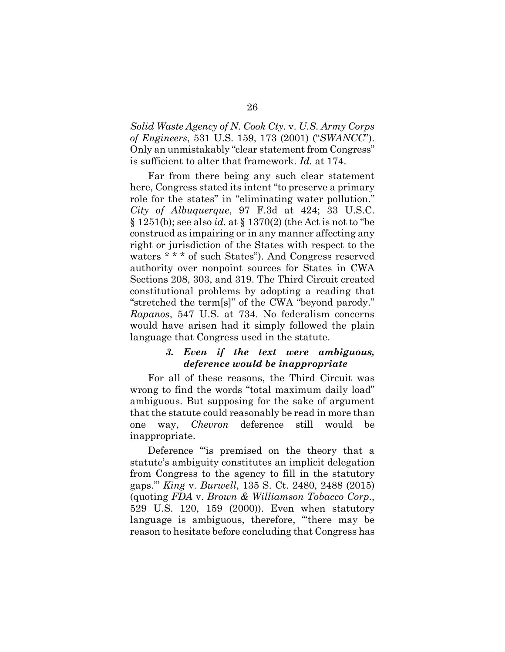<span id="page-35-4"></span>*Solid Waste Agency of N. Cook Cty.* v. *U.S. Army Corps of Engineers*, 531 U.S. 159, 173 (2001) ("*SWANCC*"). Only an unmistakably "clear statement from Congress" is sufficient to alter that framework. *Id.* at 174.

<span id="page-35-5"></span><span id="page-35-1"></span>Far from there being any such clear statement here, Congress stated its intent "to preserve a primary role for the states" in "eliminating water pollution." *City of Albuquerque*, 97 F.3d at 424; 33 U.S.C. § 1251(b); see also *id.* at § 1370(2) (the Act is not to "be construed as impairing or in any manner affecting any right or jurisdiction of the States with respect to the waters \* \* \* of such States"). And Congress reserved authority over nonpoint sources for States in CWA Sections 208, 303, and 319. The Third Circuit created constitutional problems by adopting a reading that "stretched the term[s]" of the CWA "beyond parody." *Rapanos*, 547 U.S. at 734. No federalism concerns would have arisen had it simply followed the plain language that Congress used in the statute.

#### <span id="page-35-3"></span><span id="page-35-0"></span>*3. Even if the text were ambiguous, deference would be inappropriate*

For all of these reasons, the Third Circuit was wrong to find the words "total maximum daily load" ambiguous. But supposing for the sake of argument that the statute could reasonably be read in more than one way, *Chevron* deference still would be inappropriate.

<span id="page-35-2"></span>Deference "is premised on the theory that a statute's ambiguity constitutes an implicit delegation from Congress to the agency to fill in the statutory gaps.'" *King* v. *Burwell*, 135 S. Ct. 2480, 2488 (2015) (quoting *FDA* v. *Brown & Williamson Tobacco Corp*., 529 U.S. 120, 159 (2000)). Even when statutory language is ambiguous, therefore, "there may be reason to hesitate before concluding that Congress has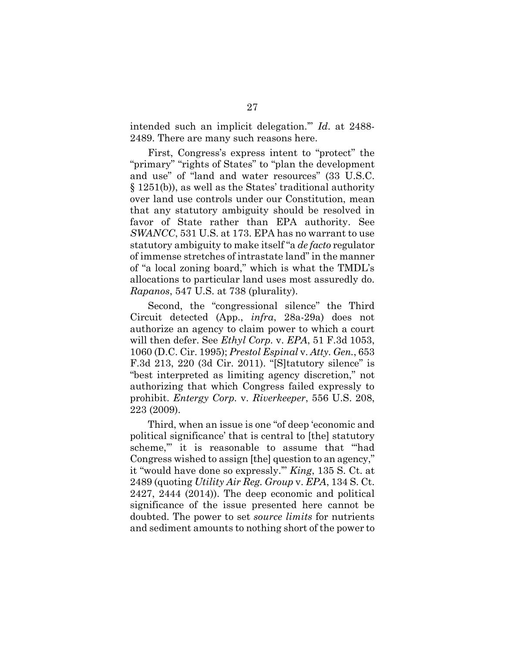intended such an implicit delegation.'" *Id*. at 2488- 2489. There are many such reasons here.

<span id="page-36-6"></span><span id="page-36-5"></span>First, Congress's express intent to "protect" the "primary" "rights of States" to "plan the development and use" of "land and water resources" (33 U.S.C. § 1251(b)), as well as the States' traditional authority over land use controls under our Constitution, mean that any statutory ambiguity should be resolved in favor of State rather than EPA authority. See *SWANCC*, 531 U.S. at 173. EPA has no warrant to use statutory ambiguity to make itself "a *de facto* regulator of immense stretches of intrastate land" in the manner of "a local zoning board," which is what the TMDL's allocations to particular land uses most assuredly do. *Rapanos*, 547 U.S. at 738 (plurality).

<span id="page-36-4"></span><span id="page-36-3"></span><span id="page-36-1"></span>Second, the "congressional silence" the Third Circuit detected (App., *infra*, 28a-29a) does not authorize an agency to claim power to which a court will then defer. See *Ethyl Corp.* v. *EPA*, 51 F.3d 1053, 1060 (D.C. Cir. 1995); *Prestol Espinal* v. *Atty. Gen.*, 653 F.3d 213, 220 (3d Cir. 2011). "[S]tatutory silence" is "best interpreted as limiting agency discretion," not authorizing that which Congress failed expressly to prohibit. *Entergy Corp.* v. *Riverkeeper*, 556 U.S. 208, 223 (2009).

<span id="page-36-2"></span><span id="page-36-0"></span>Third, when an issue is one "of deep 'economic and political significance' that is central to [the] statutory scheme,'" it is reasonable to assume that "'had Congress wished to assign [the] question to an agency," it "would have done so expressly.'" *King*, 135 S. Ct. at 2489 (quoting *Utility Air Reg. Group* v. *EPA*, 134 S. Ct. 2427, 2444 (2014)). The deep economic and political significance of the issue presented here cannot be doubted. The power to set *source limits* for nutrients and sediment amounts to nothing short of the power to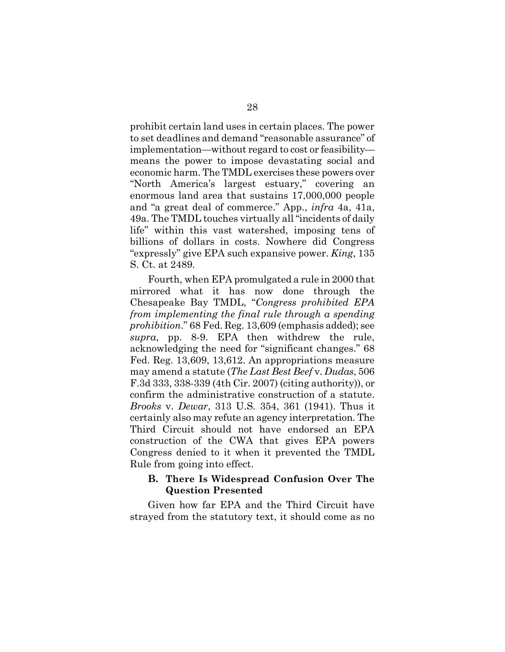prohibit certain land uses in certain places. The power to set deadlines and demand "reasonable assurance" of implementation—without regard to cost or feasibility means the power to impose devastating social and economic harm. The TMDL exercises these powers over "North America's largest estuary," covering an enormous land area that sustains 17,000,000 people and "a great deal of commerce." App., *infra* 4a, 41a, 49a. The TMDL touches virtually all "incidents of daily life" within this vast watershed, imposing tens of billions of dollars in costs. Nowhere did Congress "expressly" give EPA such expansive power. *King*, 135 S. Ct. at 2489*.*

<span id="page-37-2"></span>Fourth, when EPA promulgated a rule in 2000 that mirrored what it has now done through the Chesapeake Bay TMDL, "*Congress prohibited EPA from implementing the final rule through a spending prohibition*." 68 Fed. Reg. 13,609 (emphasis added); see *supra*, pp. 8-9. EPA then withdrew the rule, acknowledging the need for "significant changes." 68 Fed. Reg. 13,609, 13,612. An appropriations measure may amend a statute (*The Last Best Beef* v. *Dudas*, 506 F.3d 333, 338-339 (4th Cir. 2007) (citing authority)), or confirm the administrative construction of a statute. *Brooks* v. *Dewar*, 313 U.S. 354, 361 (1941). Thus it certainly also may refute an agency interpretation. The Third Circuit should not have endorsed an EPA construction of the CWA that gives EPA powers Congress denied to it when it prevented the TMDL Rule from going into effect.

## <span id="page-37-1"></span><span id="page-37-0"></span>**B. There Is Widespread Confusion Over The Question Presented**

Given how far EPA and the Third Circuit have strayed from the statutory text, it should come as no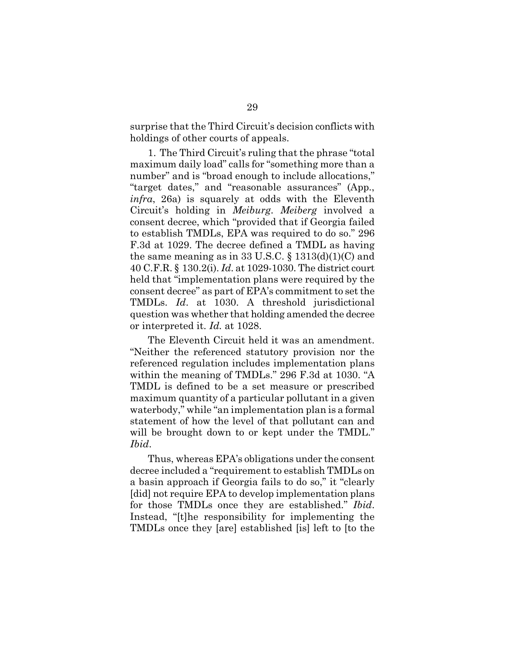surprise that the Third Circuit's decision conflicts with holdings of other courts of appeals.

<span id="page-38-0"></span>1. The Third Circuit's ruling that the phrase "total maximum daily load" calls for "something more than a number" and is "broad enough to include allocations," "target dates," and "reasonable assurances" (App., *infra*, 26a) is squarely at odds with the Eleventh Circuit's holding in *Meiburg*. *Meiberg* involved a consent decree, which "provided that if Georgia failed to establish TMDLs, EPA was required to do so." 296 F.3d at 1029. The decree defined a TMDL as having the same meaning as in 33 U.S.C.  $\S$  1313(d)(1)(C) and 40 C.F.R. § 130.2(i). *Id*. at 1029-1030. The district court held that "implementation plans were required by the consent decree" as part of EPA's commitment to set the TMDLs. *Id*. at 1030. A threshold jurisdictional question was whether that holding amended the decree or interpreted it. *Id.* at 1028.

<span id="page-38-2"></span><span id="page-38-1"></span>The Eleventh Circuit held it was an amendment. "Neither the referenced statutory provision nor the referenced regulation includes implementation plans within the meaning of TMDLs." 296 F.3d at 1030. "A TMDL is defined to be a set measure or prescribed maximum quantity of a particular pollutant in a given waterbody," while "an implementation plan is a formal statement of how the level of that pollutant can and will be brought down to or kept under the TMDL." *Ibid*.

Thus, whereas EPA's obligations under the consent decree included a "requirement to establish TMDLs on a basin approach if Georgia fails to do so," it "clearly [did] not require EPA to develop implementation plans for those TMDLs once they are established." *Ibid*. Instead, "[t]he responsibility for implementing the TMDLs once they [are] established [is] left to [to the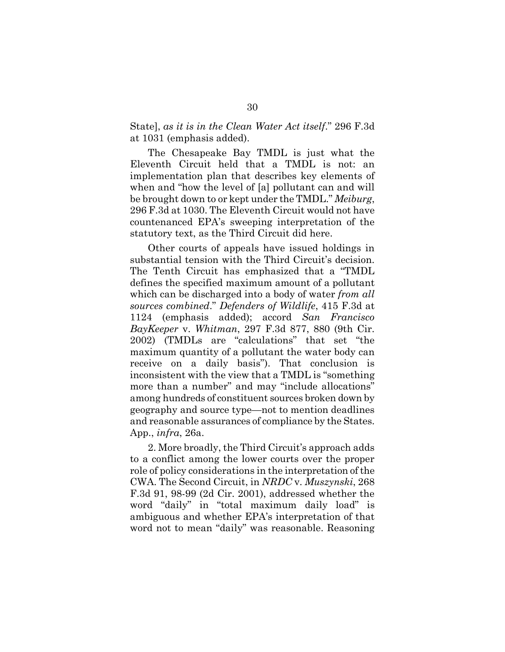## State], *as it is in the Clean Water Act itself*." 296 F.3d at 1031 (emphasis added).

The Chesapeake Bay TMDL is just what the Eleventh Circuit held that a TMDL is not: an implementation plan that describes key elements of when and "how the level of [a] pollutant can and will be brought down to or kept under the TMDL." *Meiburg*, 296 F.3d at 1030. The Eleventh Circuit would not have countenanced EPA's sweeping interpretation of the statutory text, as the Third Circuit did here.

<span id="page-39-2"></span><span id="page-39-0"></span>Other courts of appeals have issued holdings in substantial tension with the Third Circuit's decision. The Tenth Circuit has emphasized that a "TMDL defines the specified maximum amount of a pollutant which can be discharged into a body of water *from all sources combined*." *Defenders of Wildlife*, 415 F.3d at 1124 (emphasis added); accord *San Francisco BayKeeper* v. *Whitman*, 297 F.3d 877, 880 (9th Cir. 2002) (TMDLs are "calculations" that set "the maximum quantity of a pollutant the water body can receive on a daily basis"). That conclusion is inconsistent with the view that a TMDL is "something more than a number" and may "include allocations" among hundreds of constituent sources broken down by geography and source type—not to mention deadlines and reasonable assurances of compliance by the States. App., *infra*, 26a.

<span id="page-39-1"></span>2. More broadly, the Third Circuit's approach adds to a conflict among the lower courts over the proper role of policy considerations in the interpretation of the CWA. The Second Circuit, in *NRDC* v. *Muszynski*, 268 F.3d 91, 98-99 (2d Cir. 2001), addressed whether the word "daily" in "total maximum daily load" is ambiguous and whether EPA's interpretation of that word not to mean "daily" was reasonable. Reasoning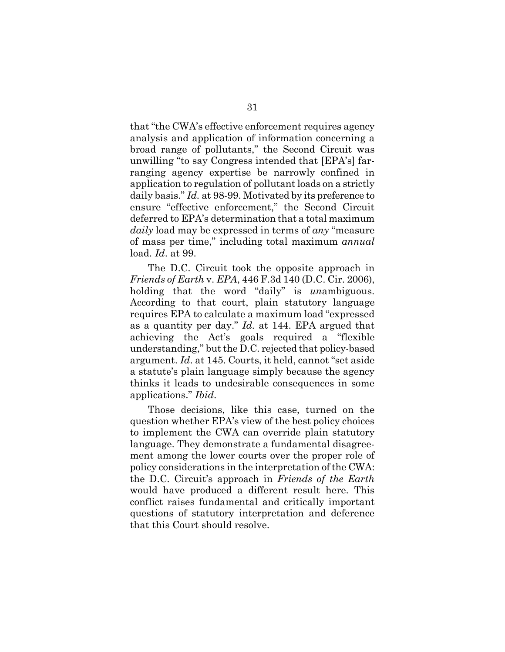that "the CWA's effective enforcement requires agency analysis and application of information concerning a broad range of pollutants," the Second Circuit was unwilling "to say Congress intended that [EPA's] farranging agency expertise be narrowly confined in application to regulation of pollutant loads on a strictly daily basis." *Id.* at 98-99. Motivated by its preference to ensure "effective enforcement," the Second Circuit deferred to EPA's determination that a total maximum *daily* load may be expressed in terms of *any* "measure of mass per time," including total maximum *annual* load. *Id*. at 99.

The D.C. Circuit took the opposite approach in *Friends of Earth* v. *EPA*, 446 F.3d 140 (D.C. Cir. 2006), holding that the word "daily" is *un*ambiguous. According to that court, plain statutory language requires EPA to calculate a maximum load "expressed as a quantity per day." *Id.* at 144. EPA argued that achieving the Act's goals required a "flexible understanding," but the D.C. rejected that policy-based argument. *Id*. at 145. Courts, it held, cannot "set aside a statute's plain language simply because the agency thinks it leads to undesirable consequences in some applications." *Ibid*.

Those decisions, like this case, turned on the question whether EPA's view of the best policy choices to implement the CWA can override plain statutory language. They demonstrate a fundamental disagreement among the lower courts over the proper role of policy considerations in the interpretation of the CWA: the D.C. Circuit's approach in *Friends of the Earth* would have produced a different result here. This conflict raises fundamental and critically important questions of statutory interpretation and deference that this Court should resolve.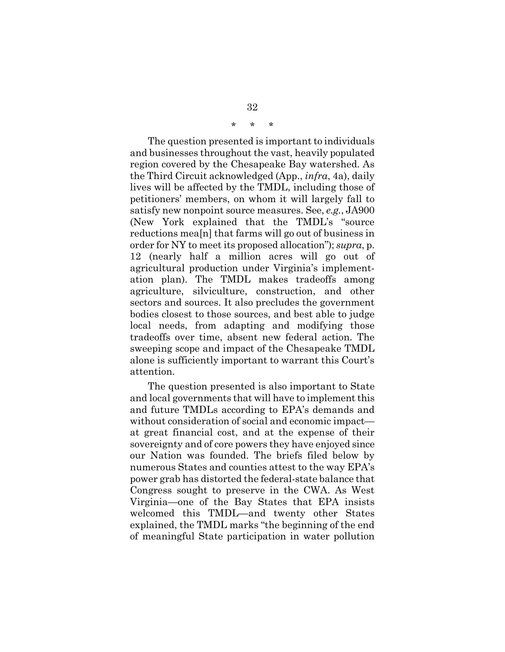## \* \* \*

The question presented is important to individuals and businesses throughout the vast, heavily populated region covered by the Chesapeake Bay watershed. As the Third Circuit acknowledged (App., *infra*, 4a), daily lives will be affected by the TMDL, including those of petitioners' members, on whom it will largely fall to satisfy new nonpoint source measures. See, *e.g.*, JA900 (New York explained that the TMDL's "source reductions mea[n] that farms will go out of business in order for NY to meet its proposed allocation"); *supra*, p. 12 (nearly half a million acres will go out of agricultural production under Virginia's implementation plan). The TMDL makes tradeoffs among agriculture, silviculture, construction, and other sectors and sources. It also precludes the government bodies closest to those sources, and best able to judge local needs, from adapting and modifying those tradeoffs over time, absent new federal action. The sweeping scope and impact of the Chesapeake TMDL alone is sufficiently important to warrant this Court's attention.

The question presented is also important to State and local governments that will have to implement this and future TMDLs according to EPA's demands and without consideration of social and economic impact at great financial cost, and at the expense of their sovereignty and of core powers they have enjoyed since our Nation was founded. The briefs filed below by numerous States and counties attest to the way EPA's power grab has distorted the federal-state balance that Congress sought to preserve in the CWA. As West Virginia—one of the Bay States that EPA insists welcomed this TMDL—and twenty other States explained, the TMDL marks "the beginning of the end of meaningful State participation in water pollution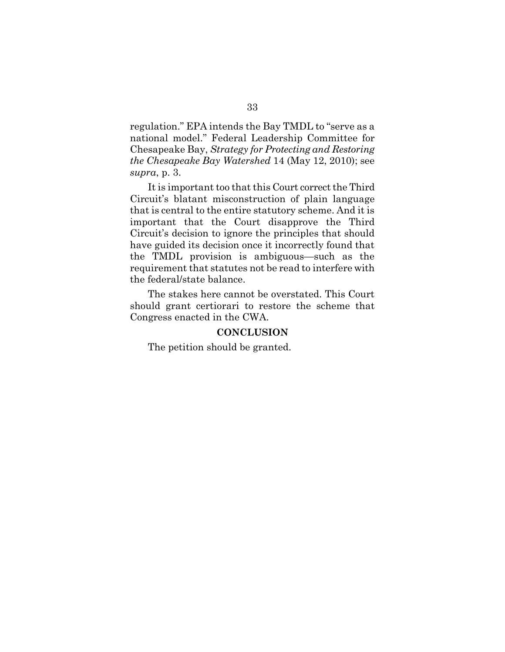<span id="page-42-1"></span>regulation." EPA intends the Bay TMDL to "serve as a national model." Federal Leadership Committee for Chesapeake Bay, *Strategy for Protecting and Restoring the Chesapeake Bay Watershed* 14 (May 12, 2010); see *supra*, p. 3.

It is important too that this Court correct the Third Circuit's blatant misconstruction of plain language that is central to the entire statutory scheme. And it is important that the Court disapprove the Third Circuit's decision to ignore the principles that should have guided its decision once it incorrectly found that the TMDL provision is ambiguous—such as the requirement that statutes not be read to interfere with the federal/state balance.

The stakes here cannot be overstated. This Court should grant certiorari to restore the scheme that Congress enacted in the CWA.

### <span id="page-42-0"></span>**CONCLUSION**

The petition should be granted.